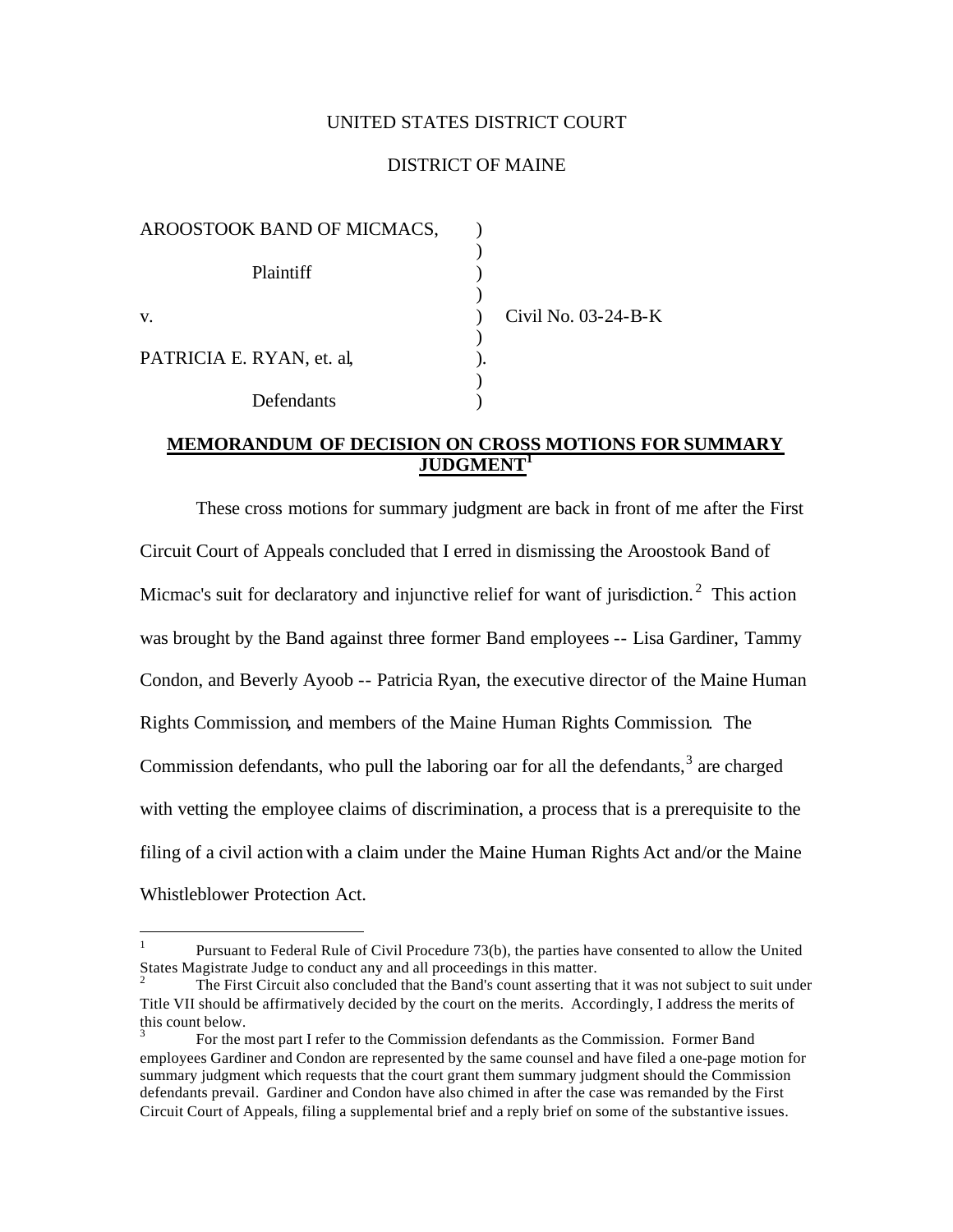## UNITED STATES DISTRICT COURT

### DISTRICT OF MAINE

| AROOSTOOK BAND OF MICMACS, |                     |
|----------------------------|---------------------|
| <b>Plaintiff</b>           |                     |
|                            |                     |
| V.                         | Civil No. 03-24-B-K |
|                            |                     |
| PATRICIA E. RYAN, et. al.  |                     |
|                            |                     |
| Defendants                 |                     |

## **MEMORANDUM OF DECISION ON CROSS MOTIONS FOR SUMMARY JUDGMENT<sup>1</sup>**

These cross motions for summary judgment are back in front of me after the First Circuit Court of Appeals concluded that I erred in dismissing the Aroostook Band of Micmac's suit for declaratory and injunctive relief for want of jurisdiction.<sup>2</sup> This action was brought by the Band against three former Band employees -- Lisa Gardiner, Tammy Condon, and Beverly Ayoob -- Patricia Ryan, the executive director of the Maine Human Rights Commission, and members of the Maine Human Rights Commission. The Commission defendants, who pull the laboring oar for all the defendants, $3$  are charged with vetting the employee claims of discrimination, a process that is a prerequisite to the filing of a civil action with a claim under the Maine Human Rights Act and/or the Maine Whistleblower Protection Act.

 $\overline{a}$ 

<sup>1</sup> Pursuant to Federal Rule of Civil Procedure 73(b), the parties have consented to allow the United States Magistrate Judge to conduct any and all proceedings in this matter.

<sup>2</sup> The First Circuit also concluded that the Band's count asserting that it was not subject to suit under Title VII should be affirmatively decided by the court on the merits. Accordingly, I address the merits of this count below.

<sup>3</sup> For the most part I refer to the Commission defendants as the Commission. Former Band employees Gardiner and Condon are represented by the same counsel and have filed a one-page motion for summary judgment which requests that the court grant them summary judgment should the Commission defendants prevail. Gardiner and Condon have also chimed in after the case was remanded by the First Circuit Court of Appeals, filing a supplemental brief and a reply brief on some of the substantive issues.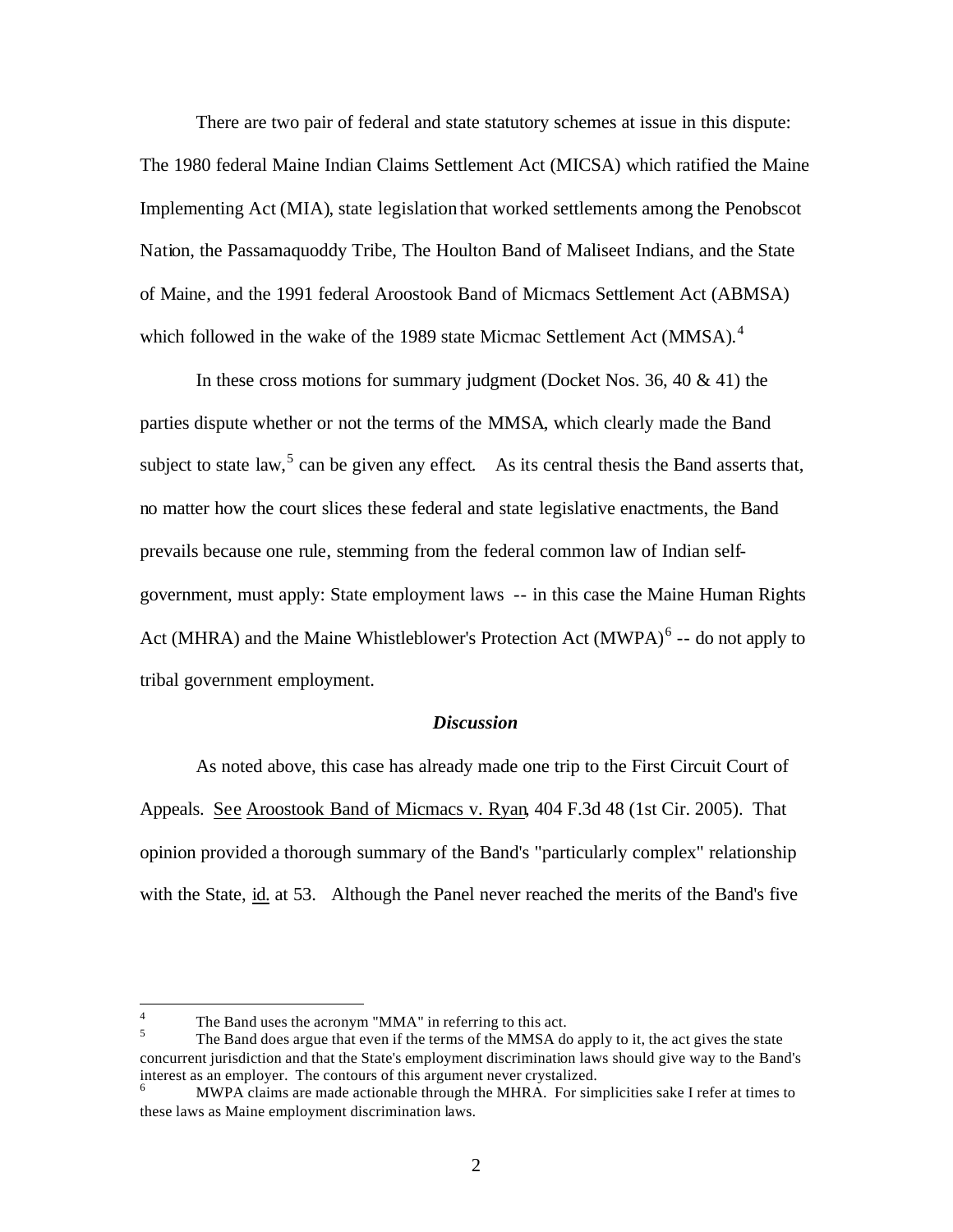There are two pair of federal and state statutory schemes at issue in this dispute: The 1980 federal Maine Indian Claims Settlement Act (MICSA) which ratified the Maine Implementing Act (MIA), state legislation that worked settlements among the Penobscot Nation, the Passamaquoddy Tribe, The Houlton Band of Maliseet Indians, and the State of Maine, and the 1991 federal Aroostook Band of Micmacs Settlement Act (ABMSA) which followed in the wake of the 1989 state Micmac Settlement Act (MMSA).<sup>4</sup>

In these cross motions for summary judgment (Docket Nos. 36, 40  $\&$  41) the parties dispute whether or not the terms of the MMSA, which clearly made the Band subject to state law,  $5$  can be given any effect. As its central thesis the Band asserts that, no matter how the court slices these federal and state legislative enactments, the Band prevails because one rule, stemming from the federal common law of Indian selfgovernment, must apply: State employment laws -- in this case the Maine Human Rights Act (MHRA) and the Maine Whistleblower's Protection Act (MWPA) $<sup>6</sup>$  -- do not apply to</sup> tribal government employment.

### *Discussion*

As noted above, this case has already made one trip to the First Circuit Court of Appeals. See Aroostook Band of Micmacs v. Ryan, 404 F.3d 48 (1st Cir. 2005). That opinion provided a thorough summary of the Band's "particularly complex" relationship with the State, id. at 53. Although the Panel never reached the merits of the Band's five

 $\frac{1}{4}$ The Band uses the acronym "MMA" in referring to this act.

<sup>5</sup> The Band does argue that even if the terms of the MMSA do apply to it, the act gives the state concurrent jurisdiction and that the State's employment discrimination laws should give way to the Band's interest as an employer. The contours of this argument never crystalized.

MWPA claims are made actionable through the MHRA. For simplicities sake I refer at times to these laws as Maine employment discrimination laws.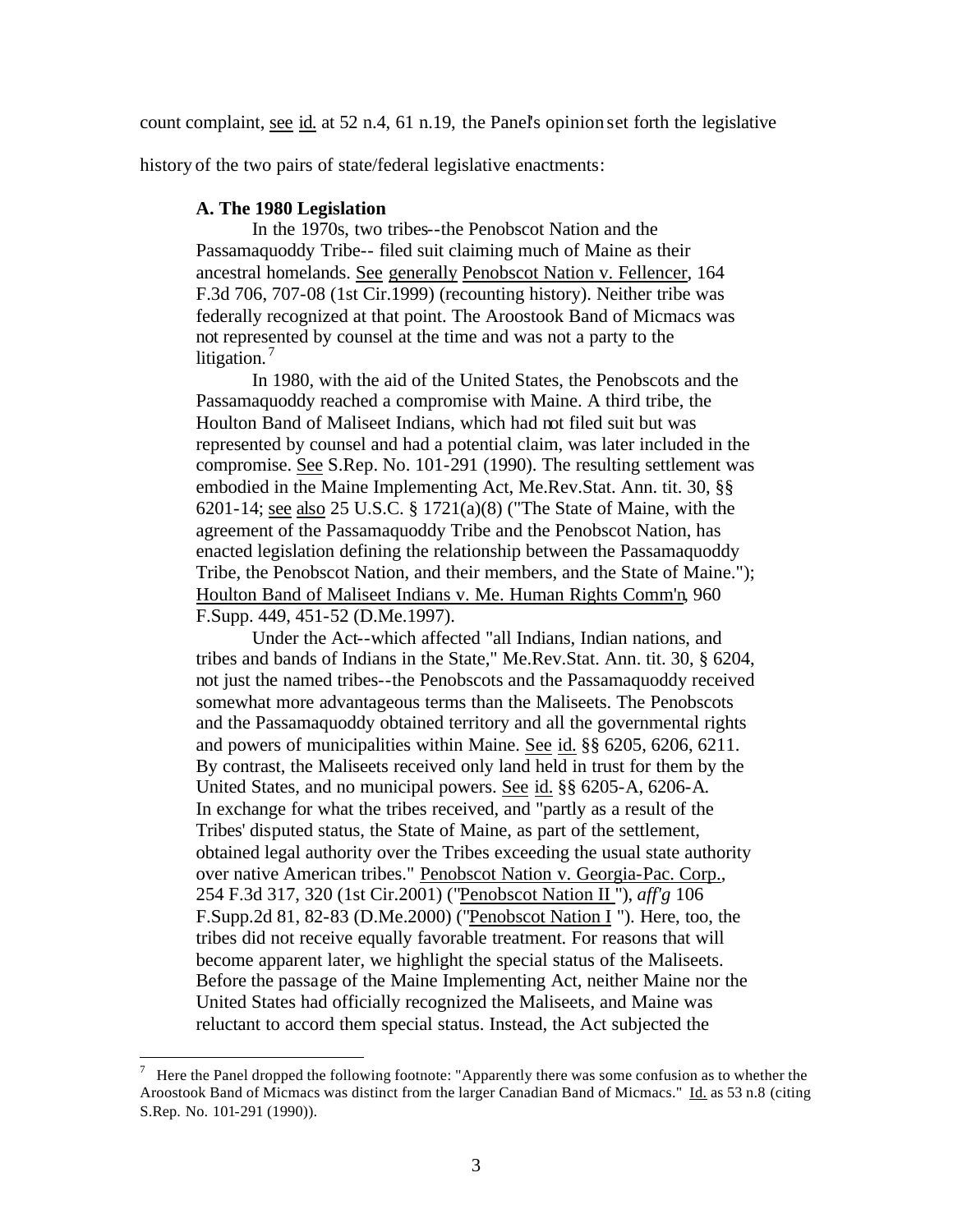count complaint, see id. at 52 n.4, 61 n.19, the Panel's opinion set forth the legislative

history of the two pairs of state/federal legislative enactments:

## **A. The 1980 Legislation**

 $\overline{a}$ 

In the 1970s, two tribes--the Penobscot Nation and the Passamaquoddy Tribe-- filed suit claiming much of Maine as their ancestral homelands. See generally Penobscot Nation v. Fellencer, 164 F.3d 706, 707-08 (1st Cir.1999) (recounting history). Neither tribe was federally recognized at that point. The Aroostook Band of Micmacs was not represented by counsel at the time and was not a party to the litigation. $'$ 

In 1980, with the aid of the United States, the Penobscots and the Passamaquoddy reached a compromise with Maine. A third tribe, the Houlton Band of Maliseet Indians, which had not filed suit but was represented by counsel and had a potential claim, was later included in the compromise. See S.Rep. No. 101-291 (1990). The resulting settlement was embodied in the Maine Implementing Act, Me.Rev.Stat. Ann. tit. 30, §§ 6201-14; see also 25 U.S.C. § 1721(a)(8) ("The State of Maine, with the agreement of the Passamaquoddy Tribe and the Penobscot Nation, has enacted legislation defining the relationship between the Passamaquoddy Tribe, the Penobscot Nation, and their members, and the State of Maine."); Houlton Band of Maliseet Indians v. Me. Human Rights Comm'n*,* 960 F.Supp. 449, 451-52 (D.Me.1997).

Under the Act--which affected "all Indians, Indian nations, and tribes and bands of Indians in the State," Me.Rev.Stat. Ann. tit. 30, § 6204, not just the named tribes--the Penobscots and the Passamaquoddy received somewhat more advantageous terms than the Maliseets. The Penobscots and the Passamaquoddy obtained territory and all the governmental rights and powers of municipalities within Maine. See id. §§ 6205, 6206, 6211. By contrast, the Maliseets received only land held in trust for them by the United States, and no municipal powers. See id. §§ 6205-A, 6206-A. In exchange for what the tribes received, and "partly as a result of the Tribes' disputed status, the State of Maine, as part of the settlement, obtained legal authority over the Tribes exceeding the usual state authority over native American tribes." Penobscot Nation v. Georgia-Pac. Corp., 254 F.3d 317, 320 (1st Cir.2001) ("Penobscot Nation II "), *aff'g* 106 F.Supp.2d 81, 82-83 (D.Me.2000) ("Penobscot Nation I "). Here, too, the tribes did not receive equally favorable treatment. For reasons that will become apparent later, we highlight the special status of the Maliseets. Before the passage of the Maine Implementing Act, neither Maine nor the United States had officially recognized the Maliseets, and Maine was reluctant to accord them special status. Instead, the Act subjected the

<sup>7</sup> Here the Panel dropped the following footnote: "Apparently there was some confusion as to whether the Aroostook Band of Micmacs was distinct from the larger Canadian Band of Micmacs." Id. as 53 n.8 (citing S.Rep. No. 101-291 (1990)).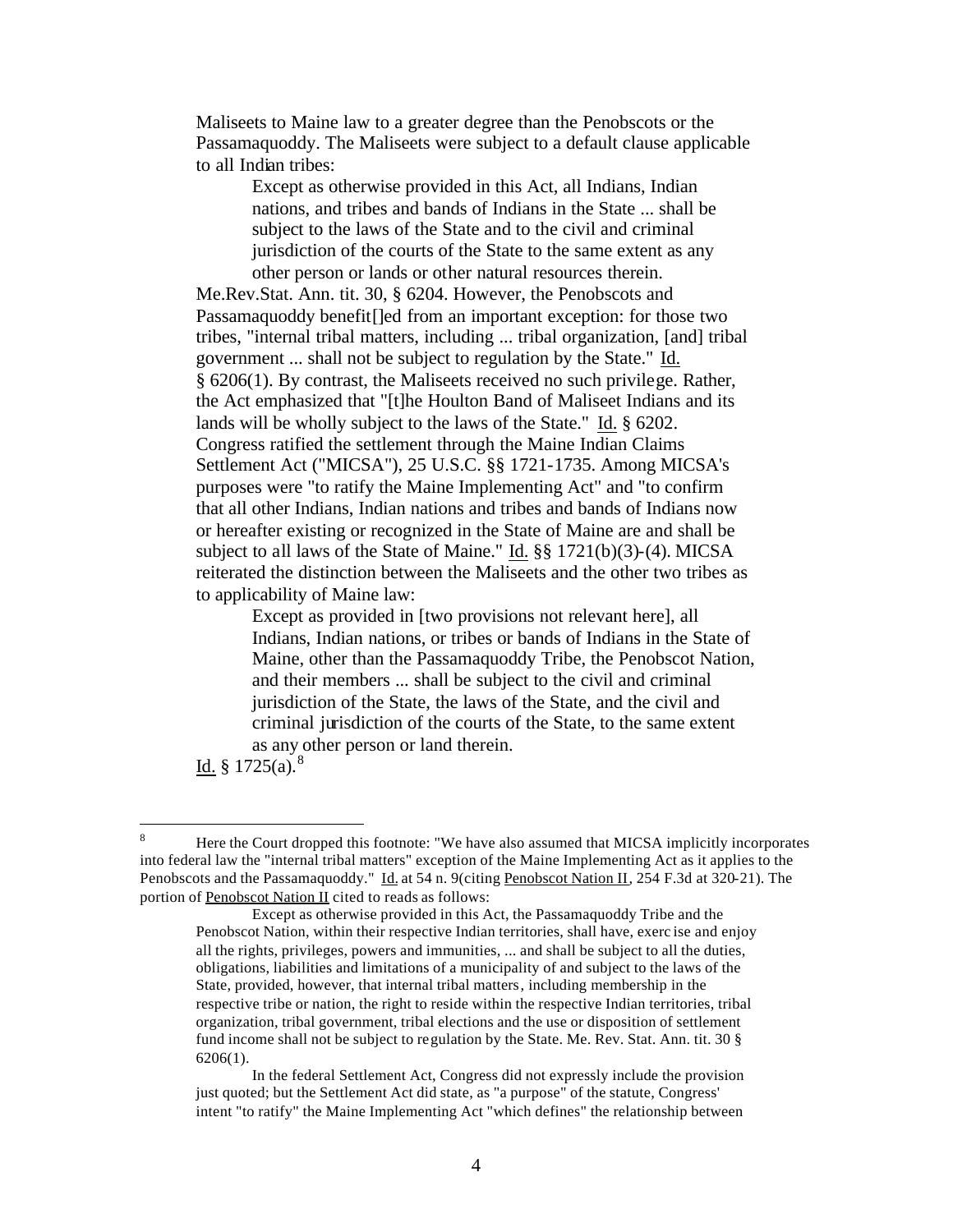Maliseets to Maine law to a greater degree than the Penobscots or the Passamaquoddy. The Maliseets were subject to a default clause applicable to all Indian tribes:

> Except as otherwise provided in this Act, all Indians, Indian nations, and tribes and bands of Indians in the State ... shall be subject to the laws of the State and to the civil and criminal jurisdiction of the courts of the State to the same extent as any other person or lands or other natural resources therein.

Me.Rev.Stat. Ann. tit. 30, § 6204. However, the Penobscots and Passamaquoddy benefit[]ed from an important exception: for those two tribes, "internal tribal matters, including ... tribal organization, [and] tribal government ... shall not be subject to regulation by the State." Id. § 6206(1). By contrast, the Maliseets received no such privilege. Rather, the Act emphasized that "[t]he Houlton Band of Maliseet Indians and its lands will be wholly subject to the laws of the State." Id. § 6202. Congress ratified the settlement through the Maine Indian Claims Settlement Act ("MICSA"), 25 U.S.C. §§ 1721-1735. Among MICSA's purposes were "to ratify the Maine Implementing Act" and "to confirm that all other Indians, Indian nations and tribes and bands of Indians now or hereafter existing or recognized in the State of Maine are and shall be subject to all laws of the State of Maine." Id. §§ 1721(b)(3)-(4). MICSA reiterated the distinction between the Maliseets and the other two tribes as to applicability of Maine law:

Except as provided in [two provisions not relevant here], all Indians, Indian nations, or tribes or bands of Indians in the State of Maine, other than the Passamaquoddy Tribe, the Penobscot Nation, and their members ... shall be subject to the civil and criminal jurisdiction of the State, the laws of the State, and the civil and criminal jurisdiction of the courts of the State, to the same extent as any other person or land therein.

Id.  $§ 1725(a).$ <sup>8</sup>

 $\bf{8}$ <sup>8</sup> Here the Court dropped this footnote: "We have also assumed that MICSA implicitly incorporates into federal law the "internal tribal matters" exception of the Maine Implementing Act as it applies to the Penobscots and the Passamaquoddy." Id. at 54 n. 9(citing Penobscot Nation II*,* 254 F.3d at 320-21). The portion of Penobscot Nation II cited to reads as follows:

Except as otherwise provided in this Act, the Passamaquoddy Tribe and the Penobscot Nation, within their respective Indian territories, shall have, exerc ise and enjoy all the rights, privileges, powers and immunities, ... and shall be subject to all the duties, obligations, liabilities and limitations of a municipality of and subject to the laws of the State, provided, however, that internal tribal matters, including membership in the respective tribe or nation, the right to reside within the respective Indian territories, tribal organization, tribal government, tribal elections and the use or disposition of settlement fund income shall not be subject to regulation by the State. Me. Rev. Stat. Ann. tit. 30 § 6206(1).

In the federal Settlement Act, Congress did not expressly include the provision just quoted; but the Settlement Act did state, as "a purpose" of the statute, Congress' intent "to ratify" the Maine Implementing Act "which defines" the relationship between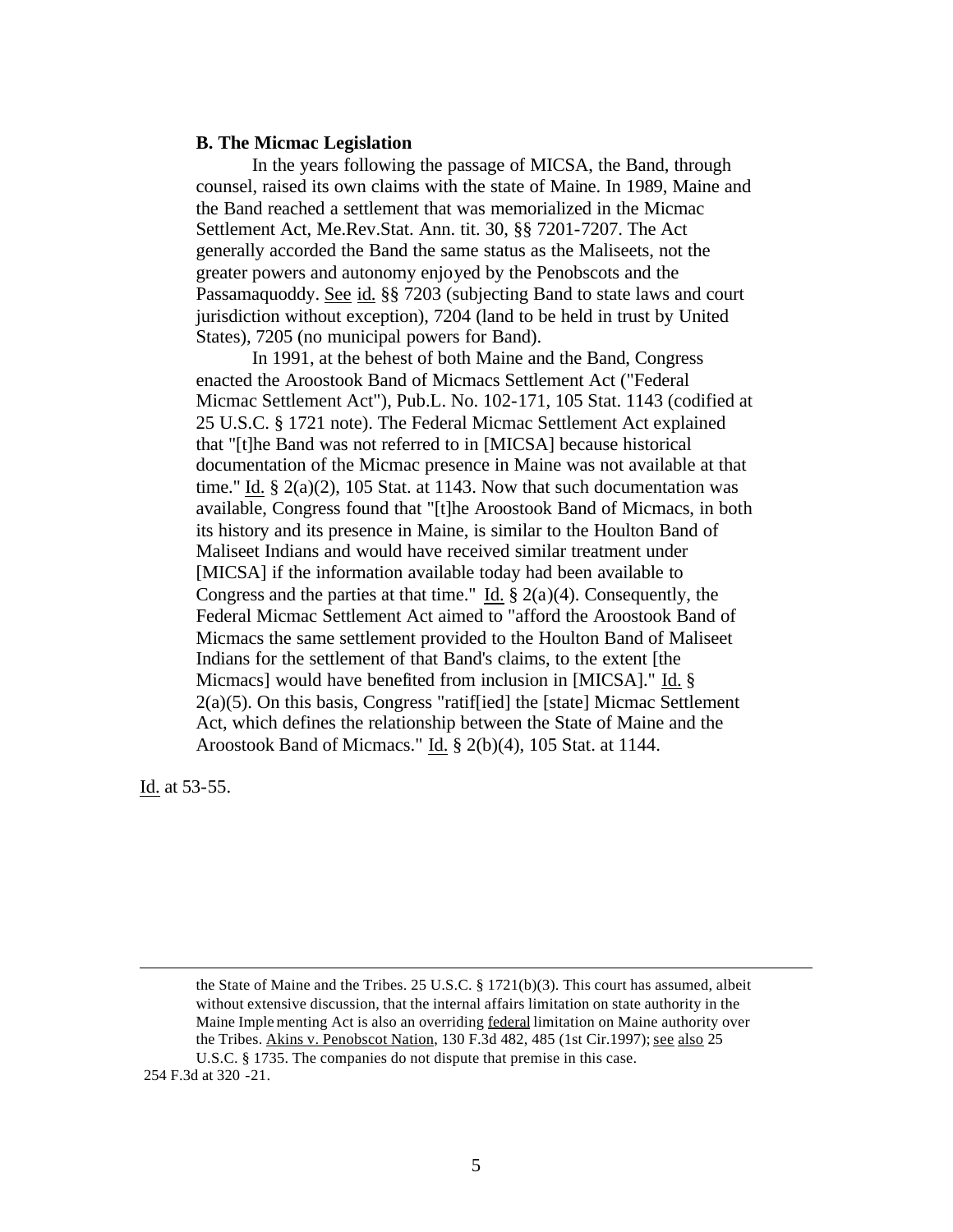#### **B. The Micmac Legislation**

In the years following the passage of MICSA, the Band, through counsel, raised its own claims with the state of Maine. In 1989, Maine and the Band reached a settlement that was memorialized in the Micmac Settlement Act, Me.Rev.Stat. Ann. tit. 30, §§ 7201-7207. The Act generally accorded the Band the same status as the Maliseets, not the greater powers and autonomy enjoyed by the Penobscots and the Passamaquoddy. See id. §§ 7203 (subjecting Band to state laws and court jurisdiction without exception), 7204 (land to be held in trust by United States), 7205 (no municipal powers for Band).

In 1991, at the behest of both Maine and the Band, Congress enacted the Aroostook Band of Micmacs Settlement Act ("Federal Micmac Settlement Act"), Pub.L. No. 102-171, 105 Stat. 1143 (codified at 25 U.S.C. § 1721 note). The Federal Micmac Settlement Act explained that "[t]he Band was not referred to in [MICSA] because historical documentation of the Micmac presence in Maine was not available at that time." Id.  $\S$  2(a)(2), 105 Stat. at 1143. Now that such documentation was available, Congress found that "[t]he Aroostook Band of Micmacs, in both its history and its presence in Maine, is similar to the Houlton Band of Maliseet Indians and would have received similar treatment under [MICSA] if the information available today had been available to Congress and the parties at that time." Id.  $\S 2(a)(4)$ . Consequently, the Federal Micmac Settlement Act aimed to "afford the Aroostook Band of Micmacs the same settlement provided to the Houlton Band of Maliseet Indians for the settlement of that Band's claims, to the extent [the Micmacs] would have benefited from inclusion in [MICSA]." Id. §  $2(a)(5)$ . On this basis, Congress "ratiffied] the [state] Micmac Settlement Act, which defines the relationship between the State of Maine and the Aroostook Band of Micmacs." Id. § 2(b)(4), 105 Stat. at 1144.

Id. at 53-55.

 $\overline{a}$ 

the State of Maine and the Tribes. 25 U.S.C. § 1721(b)(3). This court has assumed, albeit without extensive discussion, that the internal affairs limitation on state authority in the Maine Imple menting Act is also an overriding federal limitation on Maine authority over the Tribes. Akins v. Penobscot Nation, 130 F.3d 482, 485 (1st Cir.1997); see also 25 U.S.C. § 1735. The companies do not dispute that premise in this case.

254 F.3d at 320 -21.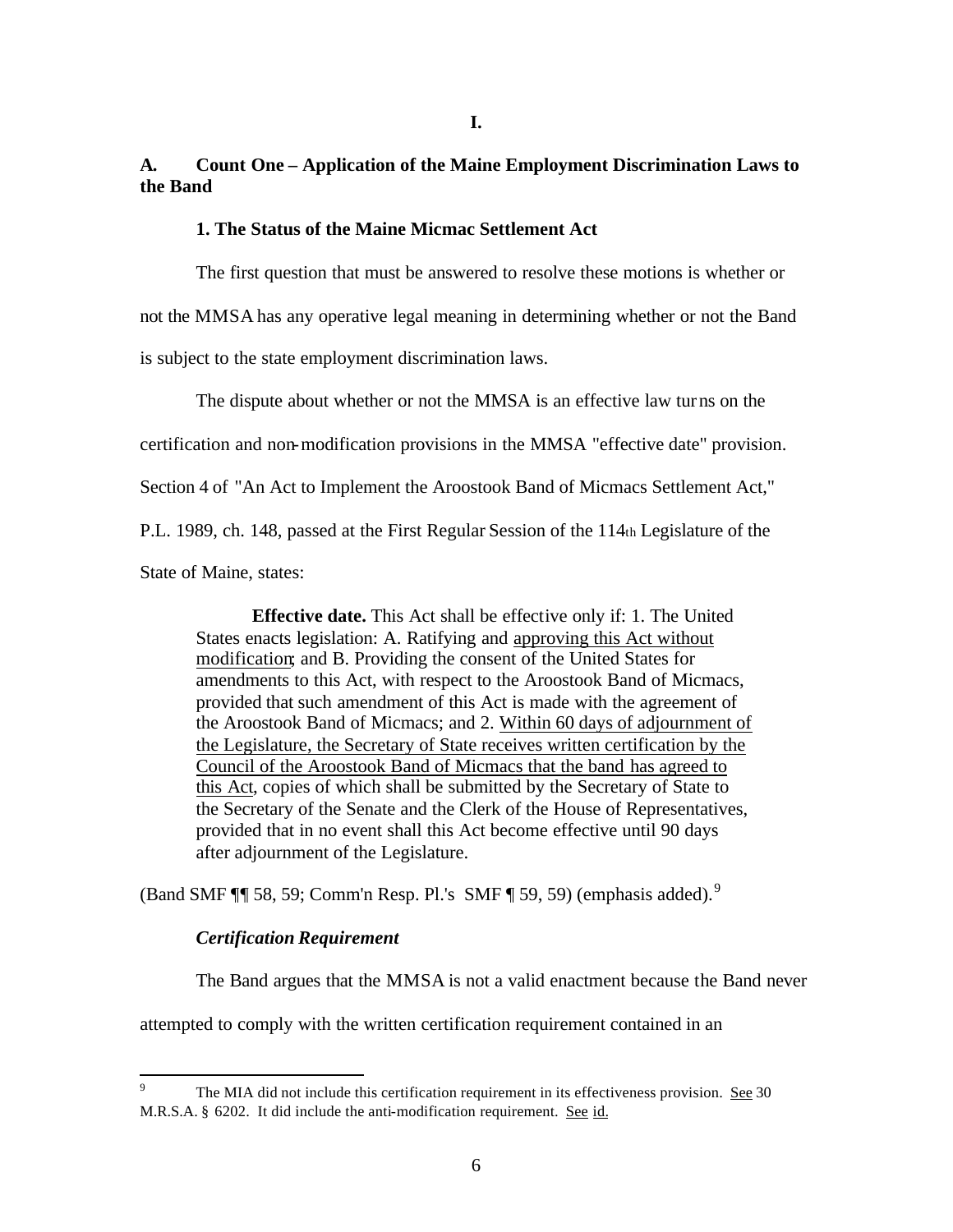## **A. Count One – Application of the Maine Employment Discrimination Laws to the Band**

#### **1. The Status of the Maine Micmac Settlement Act**

The first question that must be answered to resolve these motions is whether or not the MMSA has any operative legal meaning in determining whether or not the Band is subject to the state employment discrimination laws.

The dispute about whether or not the MMSA is an effective law turns on the

certification and non-modification provisions in the MMSA "effective date" provision.

Section 4 of "An Act to Implement the Aroostook Band of Micmacs Settlement Act,"

P.L. 1989, ch. 148, passed at the First Regular Session of the 114th Legislature of the

State of Maine, states:

**Effective date.** This Act shall be effective only if: 1. The United States enacts legislation: A. Ratifying and approving this Act without modification; and B. Providing the consent of the United States for amendments to this Act, with respect to the Aroostook Band of Micmacs, provided that such amendment of this Act is made with the agreement of the Aroostook Band of Micmacs; and 2. Within 60 days of adjournment of the Legislature, the Secretary of State receives written certification by the Council of the Aroostook Band of Micmacs that the band has agreed to this Act, copies of which shall be submitted by the Secretary of State to the Secretary of the Senate and the Clerk of the House of Representatives, provided that in no event shall this Act become effective until 90 days after adjournment of the Legislature.

(Band SMF  $\P$ ] 58, 59; Comm'n Resp. Pl.'s SMF  $\P$  59, 59) (emphasis added).<sup>9</sup>

### *Certification Requirement*

The Band argues that the MMSA is not a valid enactment because the Band never

attempted to comply with the written certification requirement contained in an

<sup>-&</sup>lt;br>9 The MIA did not include this certification requirement in its effectiveness provision. See 30 M.R.S.A. § 6202. It did include the anti-modification requirement. See id.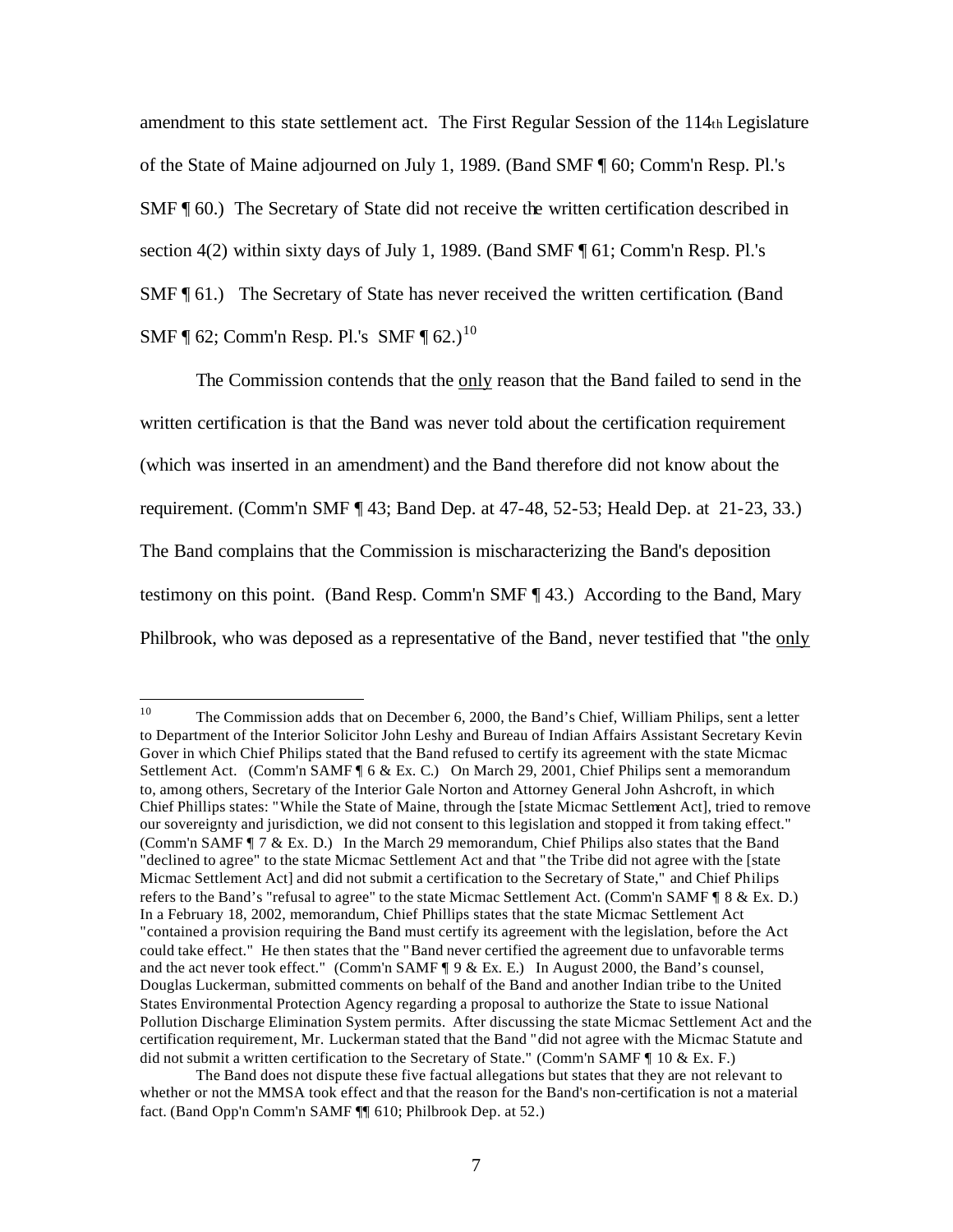amendment to this state settlement act. The First Regular Session of the 114th Legislature of the State of Maine adjourned on July 1, 1989. (Band SMF ¶ 60; Comm'n Resp. Pl.'s SMF ¶ 60.) The Secretary of State did not receive the written certification described in section 4(2) within sixty days of July 1, 1989. (Band SMF  $\P$  61; Comm'n Resp. Pl.'s SMF ¶ 61.) The Secretary of State has never received the written certification. (Band SMF  $\P$  62; Comm'n Resp. Pl.'s SMF  $\P$  62.)<sup>10</sup>

The Commission contends that the only reason that the Band failed to send in the written certification is that the Band was never told about the certification requirement (which was inserted in an amendment) and the Band therefore did not know about the requirement. (Comm'n SMF ¶ 43; Band Dep. at 47-48, 52-53; Heald Dep. at 21-23, 33.) The Band complains that the Commission is mischaracterizing the Band's deposition testimony on this point. (Band Resp. Comm'n SMF ¶ 43.) According to the Band, Mary Philbrook, who was deposed as a representative of the Band, never testified that "the only

 $10<sup>10</sup>$ <sup>10</sup> The Commission adds that on December 6, 2000, the Band's Chief, William Philips, sent a letter to Department of the Interior Solicitor John Leshy and Bureau of Indian Affairs Assistant Secretary Kevin Gover in which Chief Philips stated that the Band refused to certify its agreement with the state Micmac Settlement Act. (Comm'n SAMF ¶ 6 & Ex. C.) On March 29, 2001, Chief Philips sent a memorandum to, among others, Secretary of the Interior Gale Norton and Attorney General John Ashcroft, in which Chief Phillips states: "While the State of Maine, through the [state Micmac Settlement Act], tried to remove our sovereignty and jurisdiction, we did not consent to this legislation and stopped it from taking effect." (Comm'n SAMF ¶ 7 & Ex. D.)In the March 29 memorandum, Chief Philips also states that the Band "declined to agree" to the state Micmac Settlement Act and that "the Tribe did not agree with the [state Micmac Settlement Act] and did not submit a certification to the Secretary of State," and Chief Philips refers to the Band's "refusal to agree" to the state Micmac Settlement Act. (Comm'n SAMF ¶ 8 & Ex. D.) In a February 18, 2002, memorandum, Chief Phillips states that the state Micmac Settlement Act "contained a provision requiring the Band must certify its agreement with the legislation, before the Act could take effect." He then states that the "Band never certified the agreement due to unfavorable terms and the act never took effect." (Comm'n SAMF ¶ 9 & Ex. E.)In August 2000, the Band's counsel, Douglas Luckerman, submitted comments on behalf of the Band and another Indian tribe to the United States Environmental Protection Agency regarding a proposal to authorize the State to issue National Pollution Discharge Elimination System permits. After discussing the state Micmac Settlement Act and the certification requirement, Mr. Luckerman stated that the Band "did not agree with the Micmac Statute and did not submit a written certification to the Secretary of State." (Comm'n SAMF ¶ 10 & Ex. F.)

The Band does not dispute these five factual allegations but states that they are not relevant to whether or not the MMSA took effect and that the reason for the Band's non-certification is not a material fact. (Band Opp'n Comm'n SAMF ¶¶ 610; Philbrook Dep. at 52.)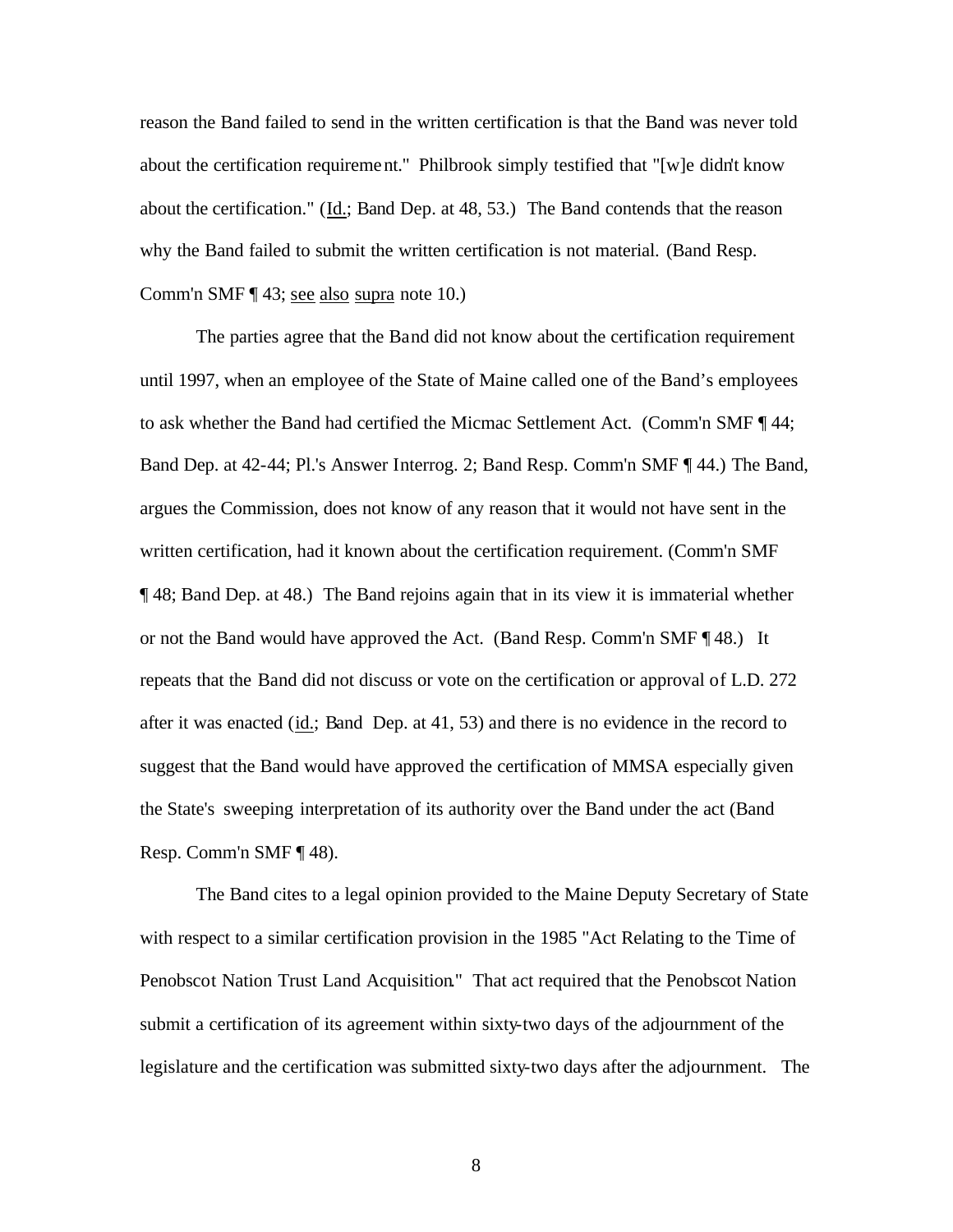reason the Band failed to send in the written certification is that the Band was never told about the certification requirement." Philbrook simply testified that "[w]e didn't know about the certification." (Id.; Band Dep. at 48, 53.) The Band contends that the reason why the Band failed to submit the written certification is not material. (Band Resp. Comm'n SMF ¶ 43; see also supra note 10.)

The parties agree that the Band did not know about the certification requirement until 1997, when an employee of the State of Maine called one of the Band's employees to ask whether the Band had certified the Micmac Settlement Act. (Comm'n SMF ¶ 44; Band Dep. at 42-44; Pl.'s Answer Interrog. 2; Band Resp. Comm'n SMF ¶ 44.) The Band, argues the Commission, does not know of any reason that it would not have sent in the written certification, had it known about the certification requirement. (Comm'n SMF ¶ 48; Band Dep. at 48.) The Band rejoins again that in its view it is immaterial whether or not the Band would have approved the Act. (Band Resp. Comm'n SMF ¶ 48.) It repeats that the Band did not discuss or vote on the certification or approval of L.D. 272 after it was enacted (id.; Band Dep. at 41, 53) and there is no evidence in the record to suggest that the Band would have approved the certification of MMSA especially given the State's sweeping interpretation of its authority over the Band under the act (Band Resp. Comm'n SMF ¶ 48).

The Band cites to a legal opinion provided to the Maine Deputy Secretary of State with respect to a similar certification provision in the 1985 "Act Relating to the Time of Penobscot Nation Trust Land Acquisition." That act required that the Penobscot Nation submit a certification of its agreement within sixty-two days of the adjournment of the legislature and the certification was submitted sixty-two days after the adjournment. The

8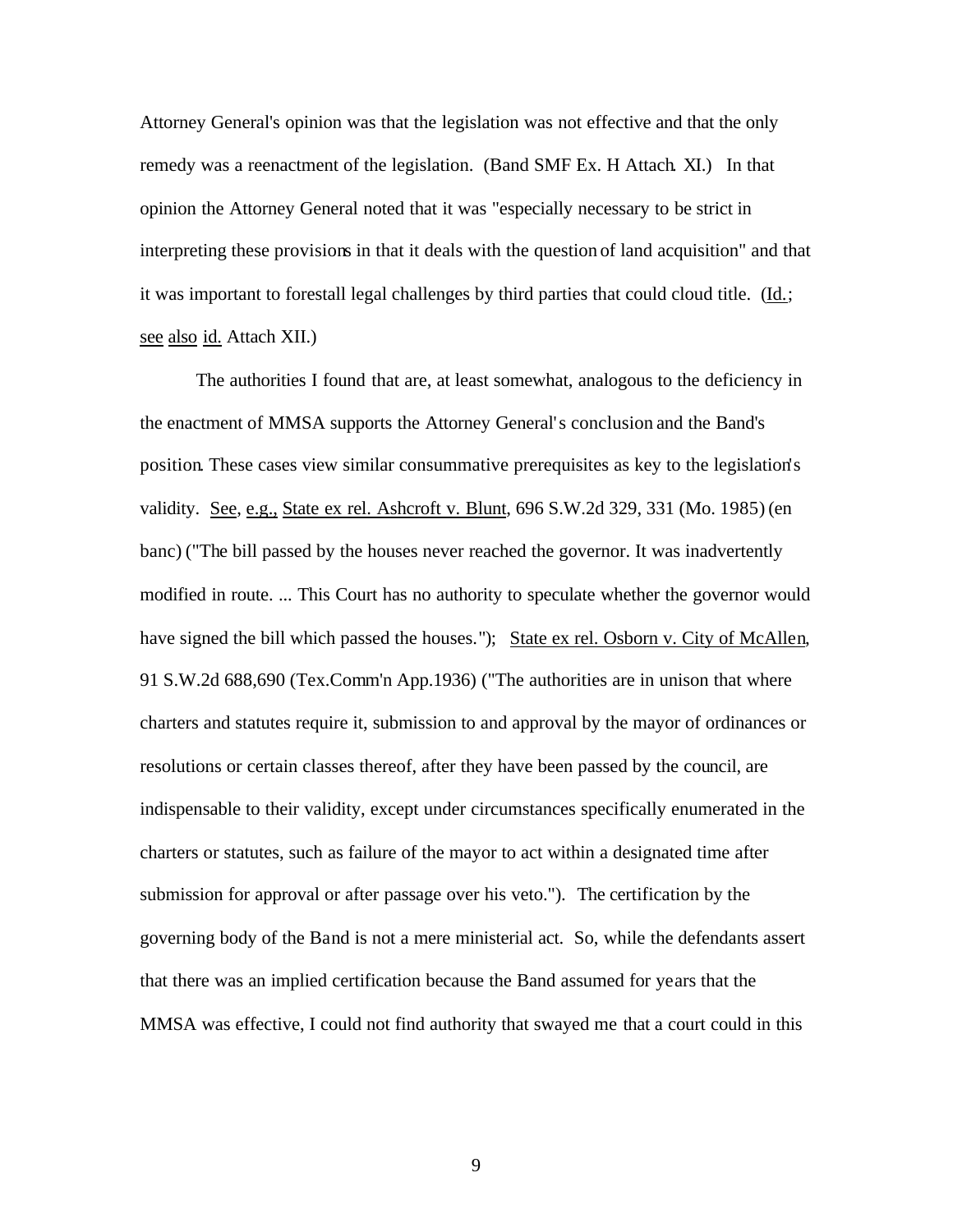Attorney General's opinion was that the legislation was not effective and that the only remedy was a reenactment of the legislation. (Band SMF Ex. H Attach. XI.) In that opinion the Attorney General noted that it was "especially necessary to be strict in interpreting these provisions in that it deals with the question of land acquisition" and that it was important to forestall legal challenges by third parties that could cloud title. (Id.; see also id. Attach XII.)

The authorities I found that are, at least somewhat, analogous to the deficiency in the enactment of MMSA supports the Attorney General's conclusion and the Band's position. These cases view similar consummative prerequisites as key to the legislation's validity. See, e.g., State ex rel. Ashcroft v. Blunt, 696 S.W.2d 329, 331 (Mo. 1985) (en banc) ("The bill passed by the houses never reached the governor. It was inadvertently modified in route. ... This Court has no authority to speculate whether the governor would have signed the bill which passed the houses."); State ex rel. Osborn v. City of McAllen, 91 S.W.2d 688,690 (Tex.Comm'n App.1936) ("The authorities are in unison that where charters and statutes require it, submission to and approval by the mayor of ordinances or resolutions or certain classes thereof, after they have been passed by the council, are indispensable to their validity, except under circumstances specifically enumerated in the charters or statutes, such as failure of the mayor to act within a designated time after submission for approval or after passage over his veto."). The certification by the governing body of the Band is not a mere ministerial act. So, while the defendants assert that there was an implied certification because the Band assumed for years that the MMSA was effective, I could not find authority that swayed me that a court could in this

9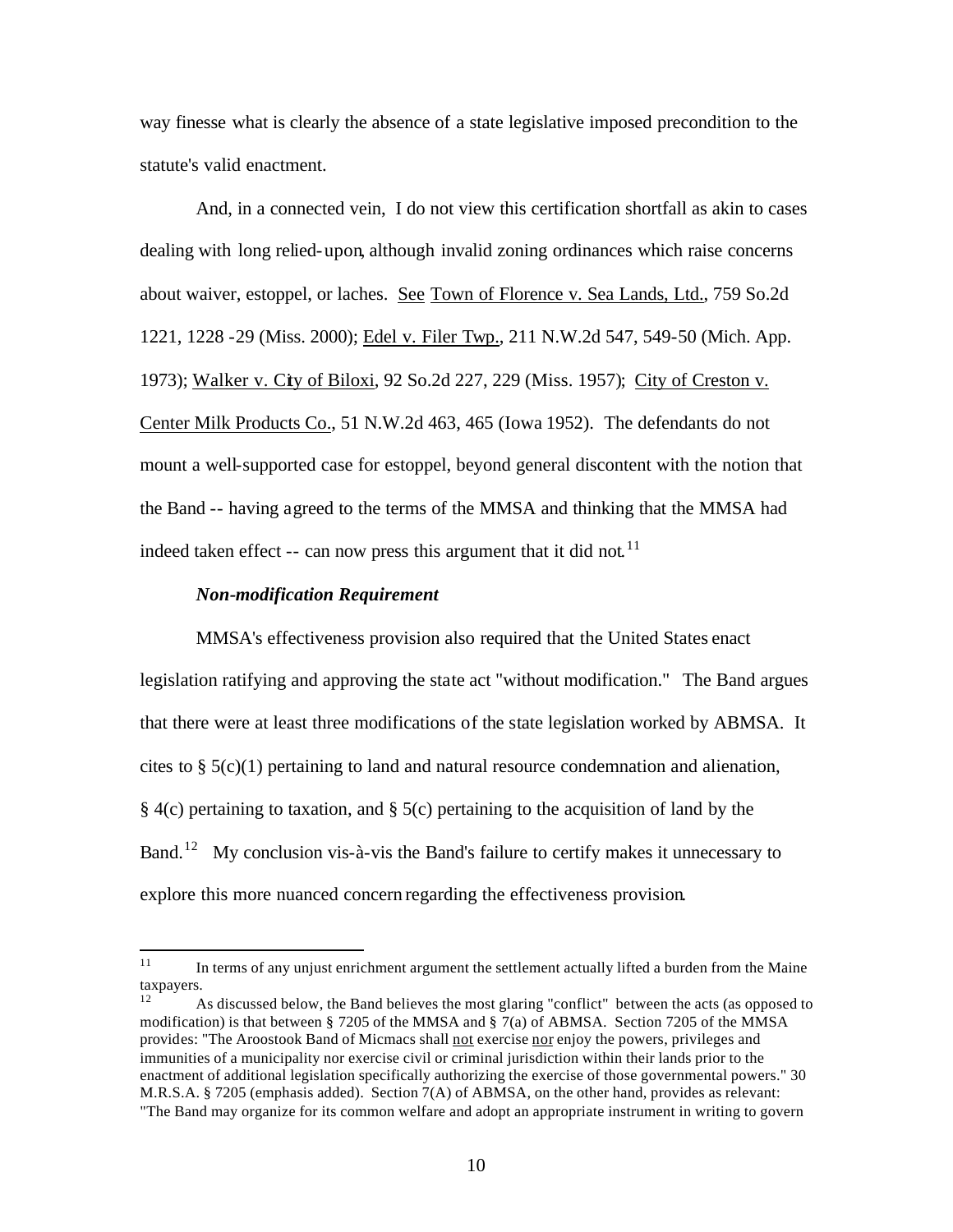way finesse what is clearly the absence of a state legislative imposed precondition to the statute's valid enactment.

 And, in a connected vein, I do not view this certification shortfall as akin to cases dealing with long relied-upon, although invalid zoning ordinances which raise concerns about waiver, estoppel, or laches. See Town of Florence v. Sea Lands, Ltd., 759 So.2d 1221, 1228 -29 (Miss. 2000); Edel v. Filer Twp., 211 N.W.2d 547, 549-50 (Mich. App. 1973); Walker v. City of Biloxi, 92 So.2d 227, 229 (Miss. 1957); City of Creston v. Center Milk Products Co., 51 N.W.2d 463, 465 (Iowa 1952). The defendants do not mount a well-supported case for estoppel, beyond general discontent with the notion that the Band -- having agreed to the terms of the MMSA and thinking that the MMSA had indeed taken effect -- can now press this argument that it did not.<sup>11</sup>

#### *Non-modification Requirement*

MMSA's effectiveness provision also required that the United States enact legislation ratifying and approving the state act "without modification." The Band argues that there were at least three modifications of the state legislation worked by ABMSA. It cites to § 5(c)(1) pertaining to land and natural resource condemnation and alienation, § 4(c) pertaining to taxation, and § 5(c) pertaining to the acquisition of land by the Band.<sup>12</sup> My conclusion vis-à-vis the Band's failure to certify makes it unnecessary to explore this more nuanced concern regarding the effectiveness provision.

 $11$ <sup>11</sup> In terms of any unjust enrichment argument the settlement actually lifted a burden from the Maine taxpayers.

<sup>12</sup> As discussed below, the Band believes the most glaring "conflict" between the acts (as opposed to modification) is that between § 7205 of the MMSA and § 7(a) of ABMSA. Section 7205 of the MMSA provides: "The Aroostook Band of Micmacs shall not exercise nor enjoy the powers, privileges and immunities of a municipality nor exercise civil or criminal jurisdiction within their lands prior to the enactment of additional legislation specifically authorizing the exercise of those governmental powers." 30 M.R.S.A. § 7205 (emphasis added). Section 7(A) of ABMSA, on the other hand, provides as relevant: "The Band may organize for its common welfare and adopt an appropriate instrument in writing to govern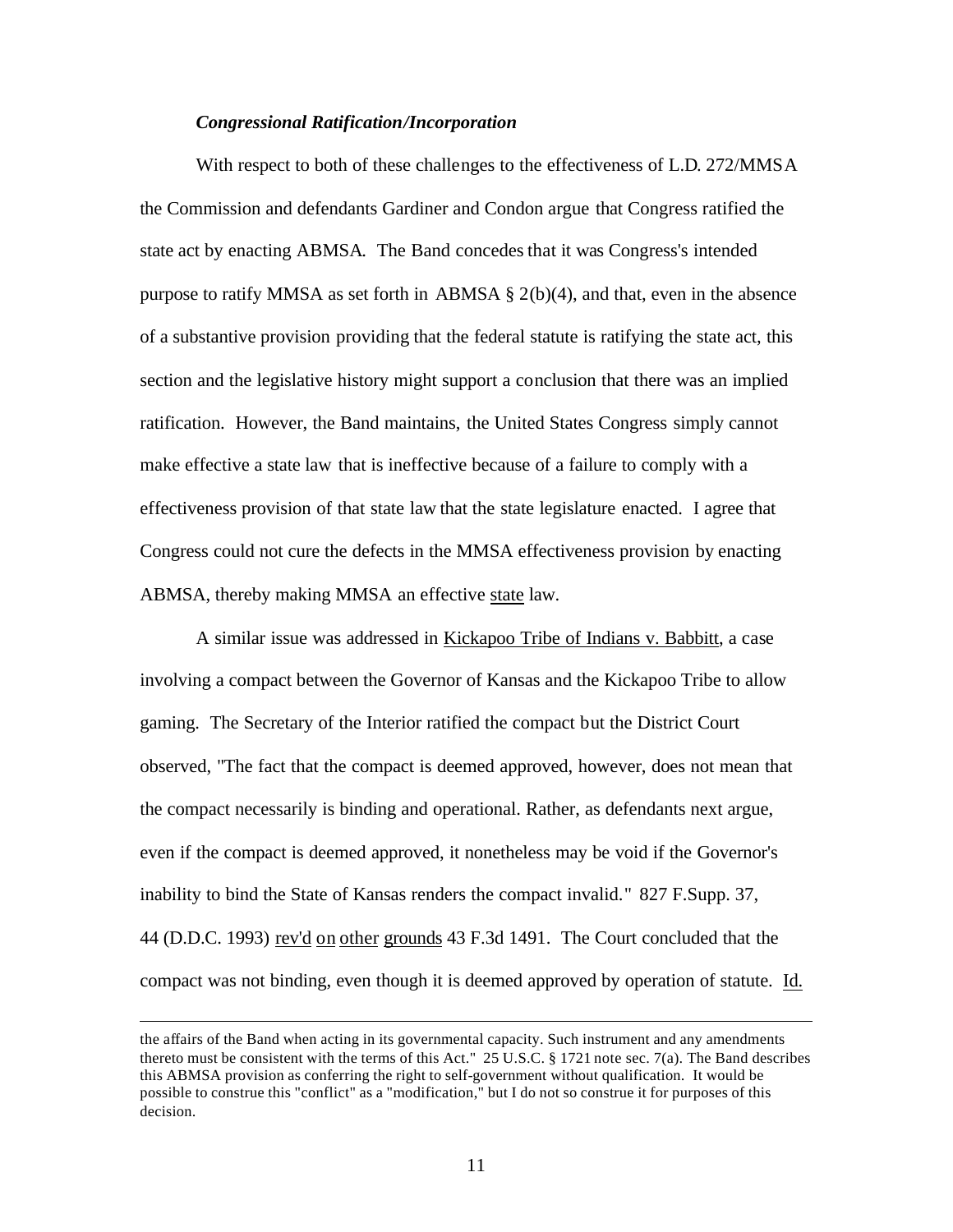#### *Congressional Ratification/Incorporation*

With respect to both of these challenges to the effectiveness of L.D. 272/MMSA the Commission and defendants Gardiner and Condon argue that Congress ratified the state act by enacting ABMSA. The Band concedes that it was Congress's intended purpose to ratify MMSA as set forth in ABMSA § 2(b)(4), and that, even in the absence of a substantive provision providing that the federal statute is ratifying the state act, this section and the legislative history might support a conclusion that there was an implied ratification. However, the Band maintains, the United States Congress simply cannot make effective a state law that is ineffective because of a failure to comply with a effectiveness provision of that state law that the state legislature enacted. I agree that Congress could not cure the defects in the MMSA effectiveness provision by enacting ABMSA, thereby making MMSA an effective state law.

A similar issue was addressed in Kickapoo Tribe of Indians v. Babbitt, a case involving a compact between the Governor of Kansas and the Kickapoo Tribe to allow gaming. The Secretary of the Interior ratified the compact but the District Court observed, "The fact that the compact is deemed approved, however, does not mean that the compact necessarily is binding and operational. Rather, as defendants next argue, even if the compact is deemed approved, it nonetheless may be void if the Governor's inability to bind the State of Kansas renders the compact invalid." 827 F.Supp. 37, 44 (D.D.C. 1993) rev'd on other grounds 43 F.3d 1491. The Court concluded that the compact was not binding, even though it is deemed approved by operation of statute. Id.

 $\overline{a}$ 

the affairs of the Band when acting in its governmental capacity. Such instrument and any amendments thereto must be consistent with the terms of this Act." 25 U.S.C. § 1721 note sec. 7(a). The Band describes this ABMSA provision as conferring the right to self-government without qualification. It would be possible to construe this "conflict" as a "modification," but I do not so construe it for purposes of this decision.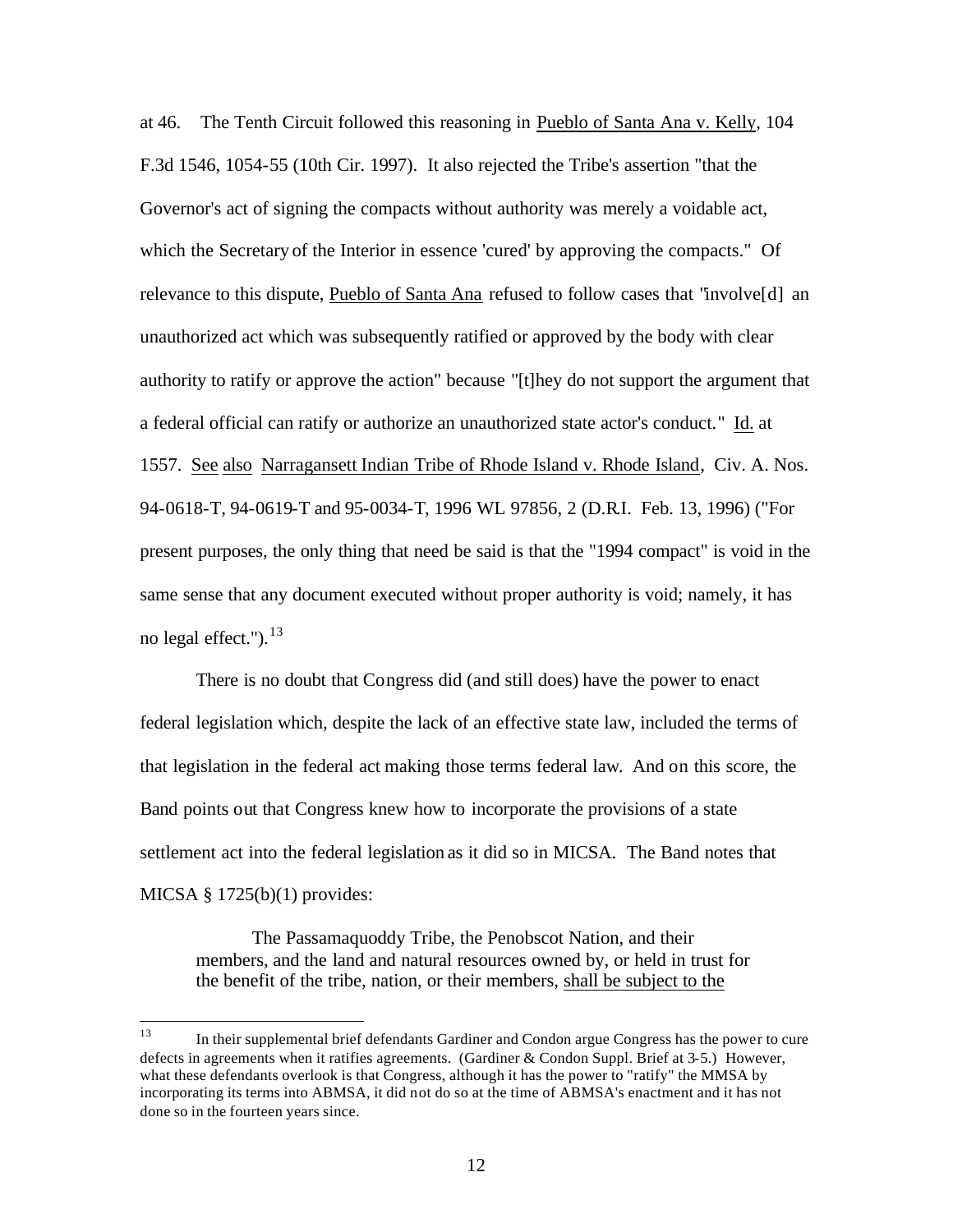at 46. The Tenth Circuit followed this reasoning in Pueblo of Santa Ana v. Kelly, 104 F.3d 1546, 1054-55 (10th Cir. 1997). It also rejected the Tribe's assertion "that the Governor's act of signing the compacts without authority was merely a voidable act, which the Secretary of the Interior in essence 'cured' by approving the compacts." Of relevance to this dispute, Pueblo of Santa Ana refused to follow cases that "involve[d] an unauthorized act which was subsequently ratified or approved by the body with clear authority to ratify or approve the action" because "[t]hey do not support the argument that a federal official can ratify or authorize an unauthorized state actor's conduct." Id. at 1557. See also Narragansett Indian Tribe of Rhode Island v. Rhode Island, Civ. A. Nos. 94-0618-T, 94-0619-T and 95-0034-T, 1996 WL 97856, 2 (D.R.I. Feb. 13, 1996) ("For present purposes, the only thing that need be said is that the "1994 compact" is void in the same sense that any document executed without proper authority is void; namely, it has no legal effect."). $^{13}$ 

There is no doubt that Congress did (and still does) have the power to enact federal legislation which, despite the lack of an effective state law, included the terms of that legislation in the federal act making those terms federal law. And on this score, the Band points out that Congress knew how to incorporate the provisions of a state settlement act into the federal legislation as it did so in MICSA. The Band notes that MICSA  $\S$  1725(b)(1) provides:

The Passamaquoddy Tribe, the Penobscot Nation, and their members, and the land and natural resources owned by, or held in trust for the benefit of the tribe, nation, or their members, shall be subject to the

<sup>13</sup> <sup>13</sup> In their supplemental brief defendants Gardiner and Condon argue Congress has the power to cure defects in agreements when it ratifies agreements. (Gardiner & Condon Suppl. Brief at 3-5.) However, what these defendants overlook is that Congress, although it has the power to "ratify" the MMSA by incorporating its terms into ABMSA, it did not do so at the time of ABMSA's enactment and it has not done so in the fourteen years since.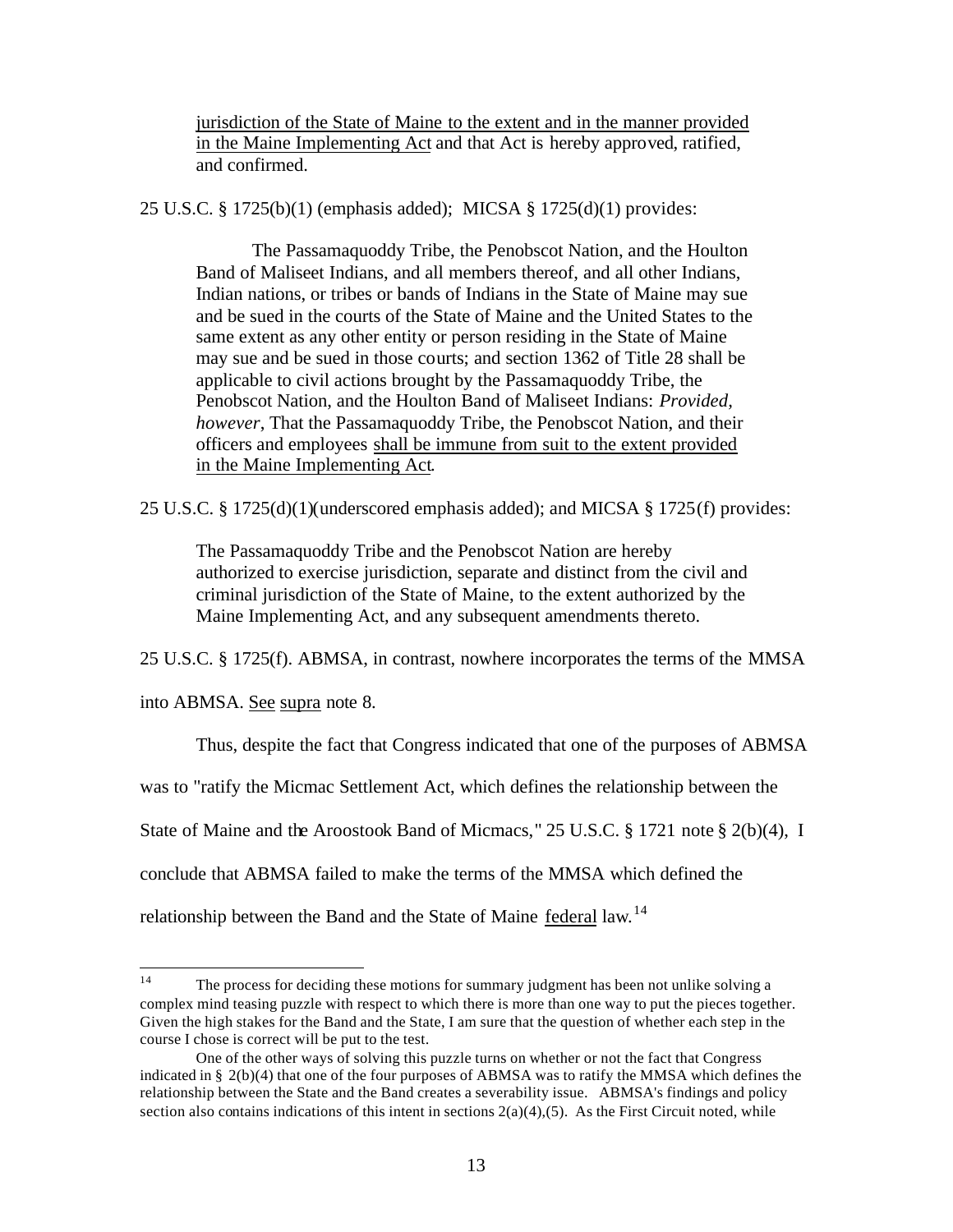jurisdiction of the State of Maine to the extent and in the manner provided in the Maine Implementing Act and that Act is hereby approved, ratified, and confirmed.

25 U.S.C. § 1725(b)(1) (emphasis added); MICSA § 1725(d)(1) provides:

The Passamaquoddy Tribe, the Penobscot Nation, and the Houlton Band of Maliseet Indians, and all members thereof, and all other Indians, Indian nations, or tribes or bands of Indians in the State of Maine may sue and be sued in the courts of the State of Maine and the United States to the same extent as any other entity or person residing in the State of Maine may sue and be sued in those courts; and section 1362 of Title 28 shall be applicable to civil actions brought by the Passamaquoddy Tribe, the Penobscot Nation, and the Houlton Band of Maliseet Indians: *Provided, however*, That the Passamaquoddy Tribe, the Penobscot Nation, and their officers and employees shall be immune from suit to the extent provided in the Maine Implementing Act.

25 U.S.C. § 1725(d)(1)(underscored emphasis added); and MICSA § 1725(f) provides:

The Passamaquoddy Tribe and the Penobscot Nation are hereby authorized to exercise jurisdiction, separate and distinct from the civil and criminal jurisdiction of the State of Maine, to the extent authorized by the Maine Implementing Act, and any subsequent amendments thereto.

25 U.S.C. § 1725(f). ABMSA, in contrast, nowhere incorporates the terms of the MMSA

into ABMSA. See supra note 8.

Thus, despite the fact that Congress indicated that one of the purposes of ABMSA

was to "ratify the Micmac Settlement Act, which defines the relationship between the

State of Maine and the Aroostook Band of Micmacs," 25 U.S.C. § 1721 note § 2(b)(4), I

conclude that ABMSA failed to make the terms of the MMSA which defined the

relationship between the Band and the State of Maine federal law.<sup>14</sup>

 $14<sup>°</sup>$ The process for deciding these motions for summary judgment has been not unlike solving a complex mind teasing puzzle with respect to which there is more than one way to put the pieces together. Given the high stakes for the Band and the State, I am sure that the question of whether each step in the course I chose is correct will be put to the test.

One of the other ways of solving this puzzle turns on whether or not the fact that Congress indicated in §  $2(b)(4)$  that one of the four purposes of ABMSA was to ratify the MMSA which defines the relationship between the State and the Band creates a severability issue. ABMSA's findings and policy section also contains indications of this intent in sections  $2(a)(4),(5)$ . As the First Circuit noted, while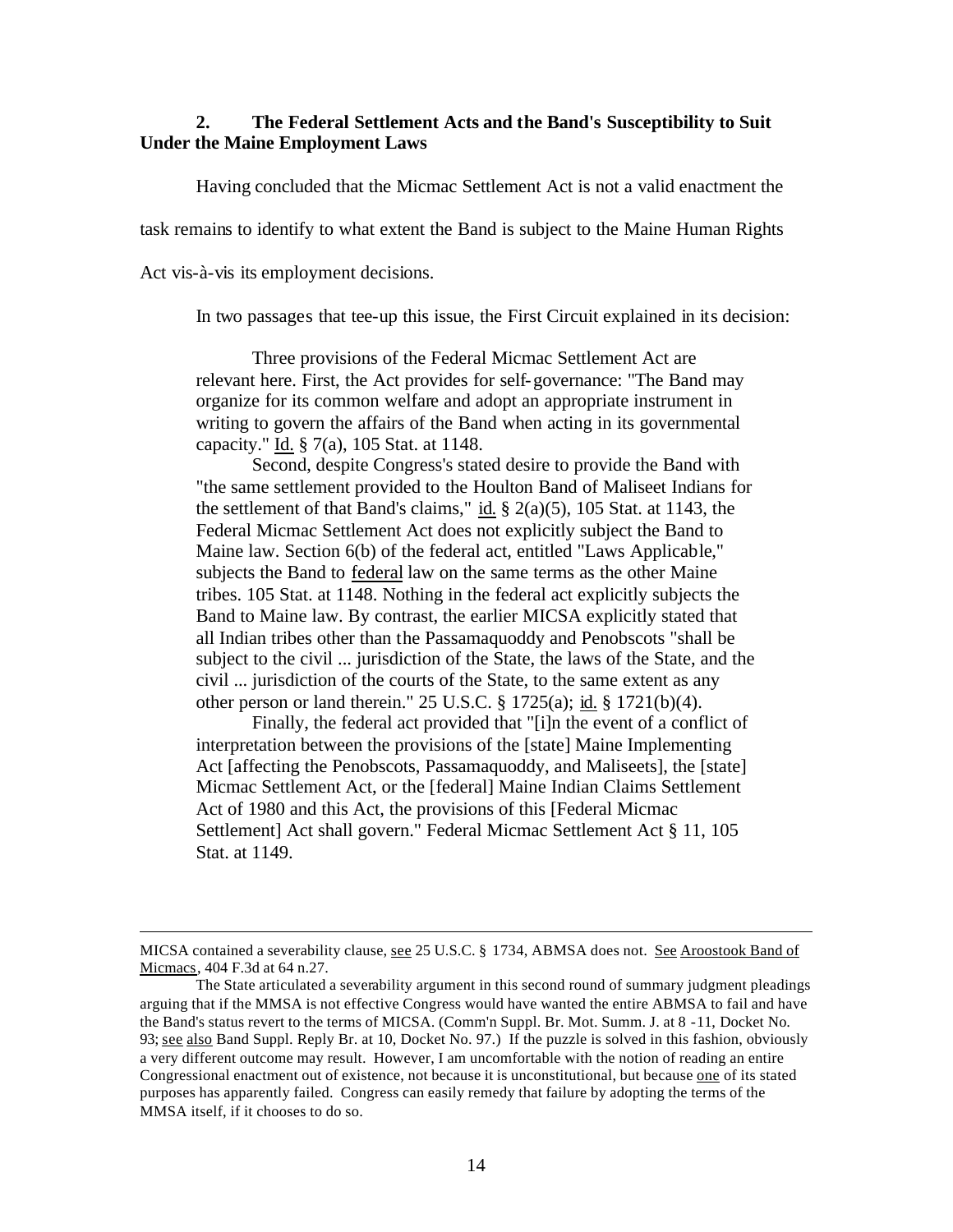## **2. The Federal Settlement Acts and the Band's Susceptibility to Suit Under the Maine Employment Laws**

Having concluded that the Micmac Settlement Act is not a valid enactment the

task remains to identify to what extent the Band is subject to the Maine Human Rights

Act vis-à-vis its employment decisions.

 $\overline{a}$ 

In two passages that tee-up this issue, the First Circuit explained in its decision:

Three provisions of the Federal Micmac Settlement Act are relevant here. First, the Act provides for self-governance: "The Band may organize for its common welfare and adopt an appropriate instrument in writing to govern the affairs of the Band when acting in its governmental capacity." Id. § 7(a), 105 Stat. at 1148.

Second, despite Congress's stated desire to provide the Band with "the same settlement provided to the Houlton Band of Maliseet Indians for the settlement of that Band's claims," id.  $\S$  2(a)(5), 105 Stat. at 1143, the Federal Micmac Settlement Act does not explicitly subject the Band to Maine law. Section 6(b) of the federal act, entitled "Laws Applicable," subjects the Band to federal law on the same terms as the other Maine tribes. 105 Stat. at 1148. Nothing in the federal act explicitly subjects the Band to Maine law. By contrast, the earlier MICSA explicitly stated that all Indian tribes other than the Passamaquoddy and Penobscots "shall be subject to the civil ... jurisdiction of the State, the laws of the State, and the civil ... jurisdiction of the courts of the State, to the same extent as any other person or land therein." 25 U.S.C. § 1725(a); id. § 1721(b)(4).

Finally, the federal act provided that "[i]n the event of a conflict of interpretation between the provisions of the [state] Maine Implementing Act [affecting the Penobscots, Passamaquoddy, and Maliseets], the [state] Micmac Settlement Act, or the [federal] Maine Indian Claims Settlement Act of 1980 and this Act, the provisions of this [Federal Micmac Settlement] Act shall govern." Federal Micmac Settlement Act § 11, 105 Stat. at 1149.

MICSA contained a severability clause, see 25 U.S.C. § 1734, ABMSA does not. See Aroostook Band of Micmacs, 404 F.3d at 64 n.27.

The State articulated a severability argument in this second round of summary judgment pleadings arguing that if the MMSA is not effective Congress would have wanted the entire ABMSA to fail and have the Band's status revert to the terms of MICSA. (Comm'n Suppl. Br. Mot. Summ. J. at 8 -11, Docket No. 93; see also Band Suppl. Reply Br. at 10, Docket No. 97.) If the puzzle is solved in this fashion, obviously a very different outcome may result. However, I am uncomfortable with the notion of reading an entire Congressional enactment out of existence, not because it is unconstitutional, but because one of its stated purposes has apparently failed. Congress can easily remedy that failure by adopting the terms of the MMSA itself, if it chooses to do so.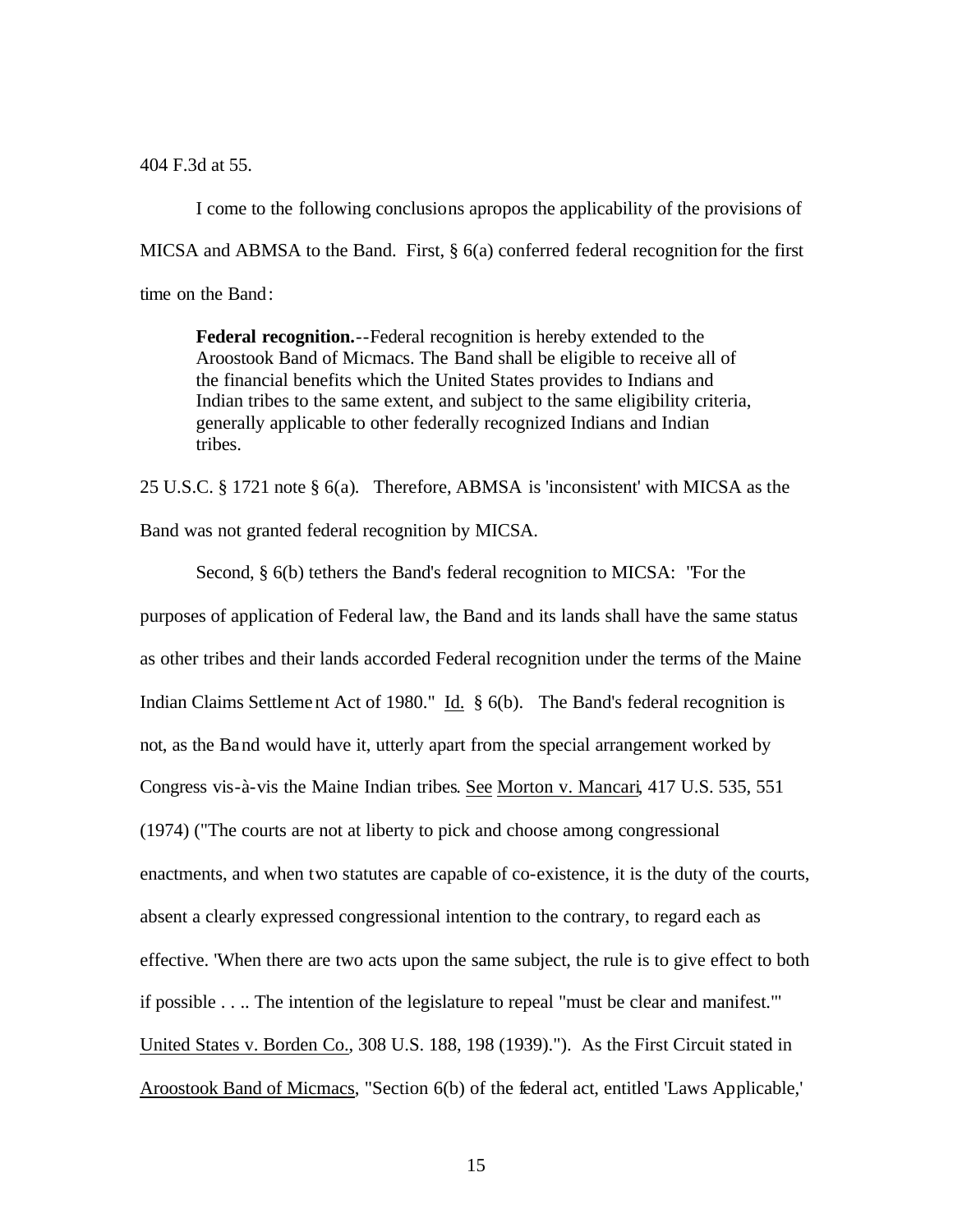404 F.3d at 55.

I come to the following conclusions apropos the applicability of the provisions of MICSA and ABMSA to the Band. First, § 6(a) conferred federal recognition for the first time on the Band:

**Federal recognition.**--Federal recognition is hereby extended to the Aroostook Band of Micmacs. The Band shall be eligible to receive all of the financial benefits which the United States provides to Indians and Indian tribes to the same extent, and subject to the same eligibility criteria, generally applicable to other federally recognized Indians and Indian tribes.

25 U.S.C. § 1721 note § 6(a). Therefore, ABMSA is 'inconsistent' with MICSA as the Band was not granted federal recognition by MICSA.

Second, § 6(b) tethers the Band's federal recognition to MICSA: "For the purposes of application of Federal law, the Band and its lands shall have the same status as other tribes and their lands accorded Federal recognition under the terms of the Maine Indian Claims Settlement Act of 1980." Id. § 6(b). The Band's federal recognition is not, as the Band would have it, utterly apart from the special arrangement worked by Congress vis-à-vis the Maine Indian tribes. See Morton v. Mancari, 417 U.S. 535, 551 (1974) ("The courts are not at liberty to pick and choose among congressional enactments, and when two statutes are capable of co-existence, it is the duty of the courts, absent a clearly expressed congressional intention to the contrary, to regard each as effective. 'When there are two acts upon the same subject, the rule is to give effect to both if possible . . .. The intention of the legislature to repeal "must be clear and manifest."' United States v. Borden Co., 308 U.S. 188, 198 (1939)."). As the First Circuit stated in Aroostook Band of Micmacs, "Section 6(b) of the federal act, entitled 'Laws Applicable,'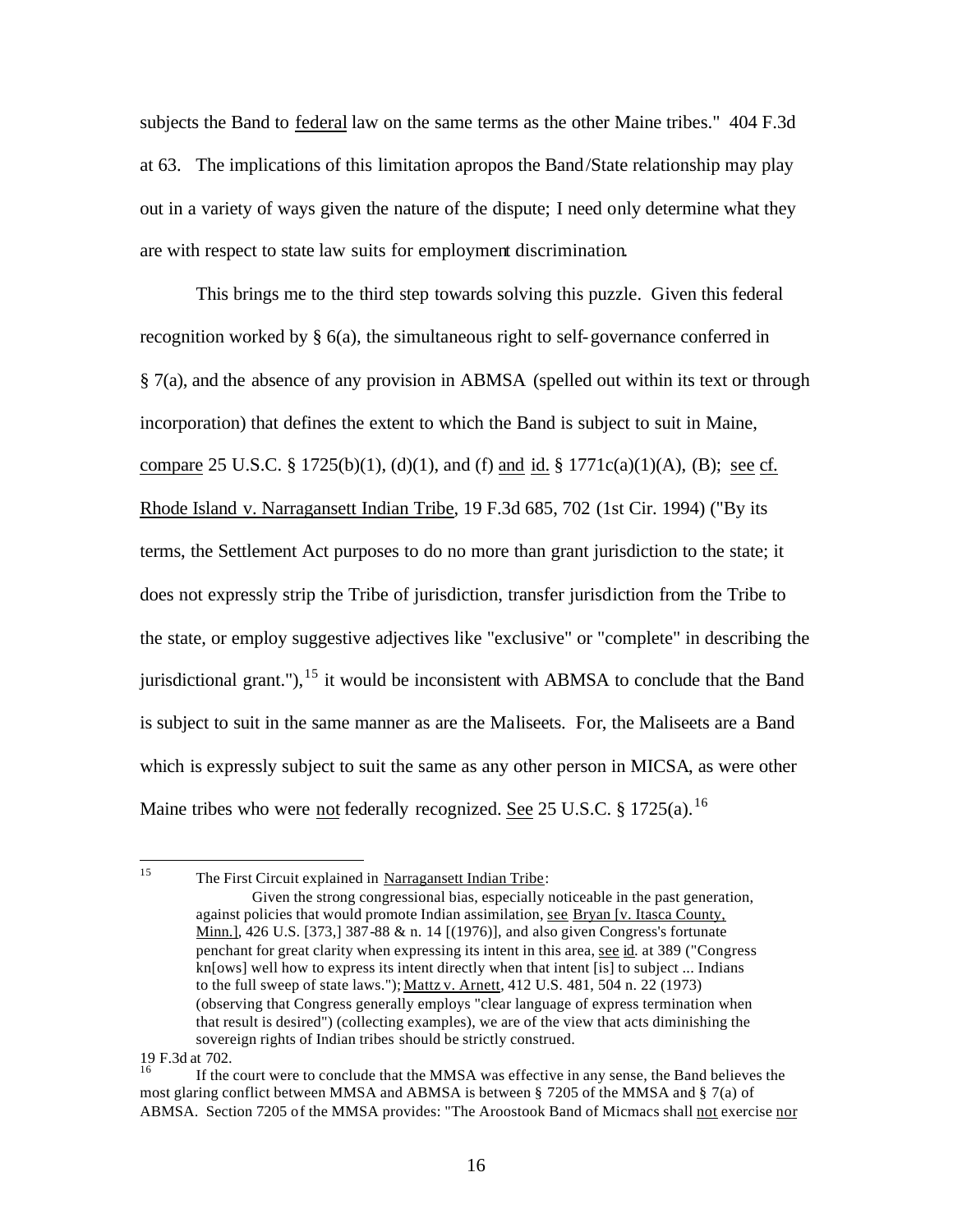subjects the Band to federal law on the same terms as the other Maine tribes." 404 F.3d at 63. The implications of this limitation apropos the Band/State relationship may play out in a variety of ways given the nature of the dispute; I need only determine what they are with respect to state law suits for employment discrimination.

This brings me to the third step towards solving this puzzle. Given this federal recognition worked by  $\S$  6(a), the simultaneous right to self-governance conferred in § 7(a), and the absence of any provision in ABMSA (spelled out within its text or through incorporation) that defines the extent to which the Band is subject to suit in Maine, compare 25 U.S.C. § 1725(b)(1), (d)(1), and (f) and id. § 1771c(a)(1)(A), (B); see cf. Rhode Island v. Narragansett Indian Tribe, 19 F.3d 685, 702 (1st Cir. 1994) ("By its terms, the Settlement Act purposes to do no more than grant jurisdiction to the state; it does not expressly strip the Tribe of jurisdiction, transfer jurisdiction from the Tribe to the state, or employ suggestive adjectives like "exclusive" or "complete" in describing the jurisdictional grant."), <sup>15</sup> it would be inconsistent with ABMSA to conclude that the Band is subject to suit in the same manner as are the Maliseets. For, the Maliseets are a Band which is expressly subject to suit the same as any other person in MICSA, as were other Maine tribes who were not federally recognized. See 25 U.S.C. § 1725(a).<sup>16</sup>

 $15<sup>15</sup>$ The First Circuit explained in Narragansett Indian Tribe:

Given the strong congressional bias, especially noticeable in the past generation, against policies that would promote Indian assimilation, see Bryan [v. Itasca County, Minn.]*,* 426 U.S. [373,] 387-88 & n. 14 [(1976)], and also given Congress's fortunate penchant for great clarity when expressing its intent in this area, see id*.* at 389 ("Congress kn[ows] well how to express its intent directly when that intent [is] to subject ... Indians to the full sweep of state laws."); Mattz v. Arnett, 412 U.S. 481, 504 n. 22 (1973) (observing that Congress generally employs "clear language of express termination when that result is desired") (collecting examples), we are of the view that acts diminishing the sovereign rights of Indian tribes should be strictly construed.

<sup>19</sup> F.3d at 702.

<sup>16</sup> If the court were to conclude that the MMSA was effective in any sense, the Band believes the most glaring conflict between MMSA and ABMSA is between § 7205 of the MMSA and § 7(a) of ABMSA. Section 7205 of the MMSA provides: "The Aroostook Band of Micmacs shall not exercise nor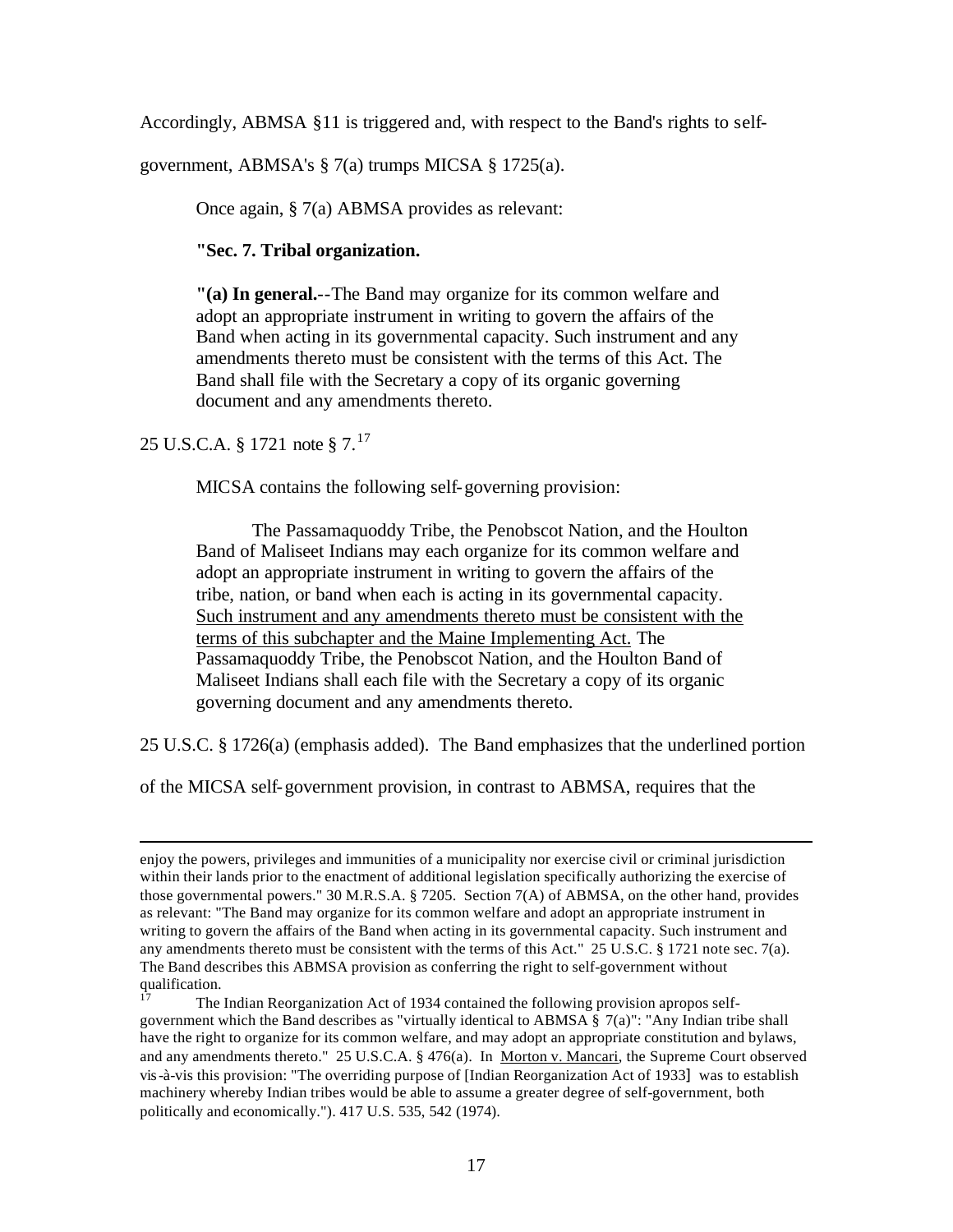Accordingly, ABMSA §11 is triggered and, with respect to the Band's rights to self-

government, ABMSA's § 7(a) trumps MICSA § 1725(a).

Once again, § 7(a) ABMSA provides as relevant:

**"Sec. 7. Tribal organization.**

**"(a) In general.**--The Band may organize for its common welfare and adopt an appropriate instrument in writing to govern the affairs of the Band when acting in its governmental capacity. Such instrument and any amendments thereto must be consistent with the terms of this Act. The Band shall file with the Secretary a copy of its organic governing document and any amendments thereto.

25 U.S.C.A. § 1721 note §  $7.^{17}$ 

 $\overline{a}$ 

MICSA contains the following self-governing provision:

The Passamaquoddy Tribe, the Penobscot Nation, and the Houlton Band of Maliseet Indians may each organize for its common welfare and adopt an appropriate instrument in writing to govern the affairs of the tribe, nation, or band when each is acting in its governmental capacity. Such instrument and any amendments thereto must be consistent with the terms of this subchapter and the Maine Implementing Act. The Passamaquoddy Tribe, the Penobscot Nation, and the Houlton Band of Maliseet Indians shall each file with the Secretary a copy of its organic governing document and any amendments thereto.

25 U.S.C. § 1726(a) (emphasis added). The Band emphasizes that the underlined portion

of the MICSA self-government provision, in contrast to ABMSA, requires that the

enjoy the powers, privileges and immunities of a municipality nor exercise civil or criminal jurisdiction within their lands prior to the enactment of additional legislation specifically authorizing the exercise of those governmental powers." 30 M.R.S.A. § 7205. Section 7(A) of ABMSA, on the other hand, provides as relevant: "The Band may organize for its common welfare and adopt an appropriate instrument in writing to govern the affairs of the Band when acting in its governmental capacity. Such instrument and any amendments thereto must be consistent with the terms of this Act." 25 U.S.C. § 1721 note sec. 7(a). The Band describes this ABMSA provision as conferring the right to self-government without qualification.

<sup>17</sup> The Indian Reorganization Act of 1934 contained the following provision apropos selfgovernment which the Band describes as "virtually identical to ABMSA § 7(a)": "Any Indian tribe shall have the right to organize for its common welfare, and may adopt an appropriate constitution and bylaws, and any amendments thereto." 25 U.S.C.A. § 476(a). In <u>Morton v. Mancari</u>, the Supreme Court observed vis-à-vis this provision: "The overriding purpose of [Indian Reorganization Act of 1933] was to establish machinery whereby Indian tribes would be able to assume a greater degree of self-government, both politically and economically."). 417 U.S. 535, 542 (1974).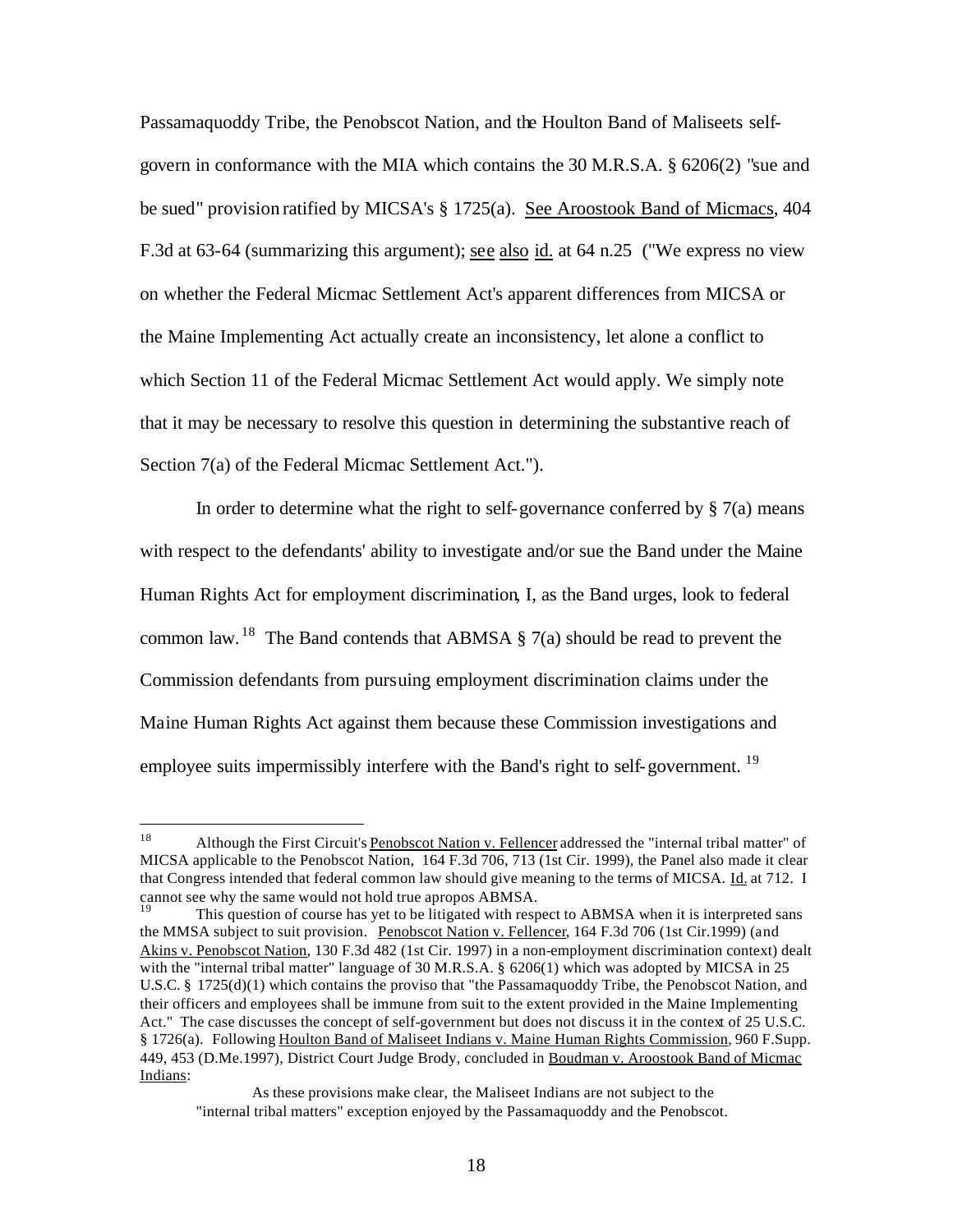Passamaquoddy Tribe, the Penobscot Nation, and the Houlton Band of Maliseets selfgovern in conformance with the MIA which contains the 30 M.R.S.A. § 6206(2) "sue and be sued" provision ratified by MICSA's § 1725(a). See Aroostook Band of Micmacs, 404 F.3d at 63-64 (summarizing this argument); see also id. at 64 n.25 ("We express no view on whether the Federal Micmac Settlement Act's apparent differences from MICSA or the Maine Implementing Act actually create an inconsistency, let alone a conflict to which Section 11 of the Federal Micmac Settlement Act would apply. We simply note that it may be necessary to resolve this question in determining the substantive reach of Section 7(a) of the Federal Micmac Settlement Act.").

In order to determine what the right to self-governance conferred by  $\S 7(a)$  means with respect to the defendants' ability to investigate and/or sue the Band under the Maine Human Rights Act for employment discrimination, I, as the Band urges, look to federal common law. <sup>18</sup> The Band contends that ABMSA  $\S$  7(a) should be read to prevent the Commission defendants from pursuing employment discrimination claims under the Maine Human Rights Act against them because these Commission investigations and employee suits impermissibly interfere with the Band's right to self-government.<sup>19</sup>

 18 Although the First Circuit's Penobscot Nation v. Fellencer addressed the "internal tribal matter" of MICSA applicable to the Penobscot Nation, 164 F.3d 706, 713 (1st Cir. 1999), the Panel also made it clear that Congress intended that federal common law should give meaning to the terms of MICSA. Id. at 712. I cannot see why the same would not hold true apropos ABMSA.

This question of course has yet to be litigated with respect to ABMSA when it is interpreted sans the MMSA subject to suit provision. Penobscot Nation v. Fellencer, 164 F.3d 706 (1st Cir.1999) (and Akins v. Penobscot Nation, 130 F.3d 482 (1st Cir. 1997) in a non-employment discrimination context) dealt with the "internal tribal matter" language of 30 M.R.S.A. § 6206(1) which was adopted by MICSA in 25 U.S.C. § 1725(d)(1) which contains the proviso that "the Passamaquoddy Tribe, the Penobscot Nation, and their officers and employees shall be immune from suit to the extent provided in the Maine Implementing Act." The case discusses the concept of self-government but does not discuss it in the context of 25 U.S.C. § 1726(a). Following Houlton Band of Maliseet Indians v. Maine Human Rights Commission*,* 960 F.Supp. 449, 453 (D.Me.1997), District Court Judge Brody, concluded in Boudman v. Aroostook Band of Micmac Indians:

As these provisions make clear, the Maliseet Indians are not subject to the "internal tribal matters" exception enjoyed by the Passamaquoddy and the Penobscot.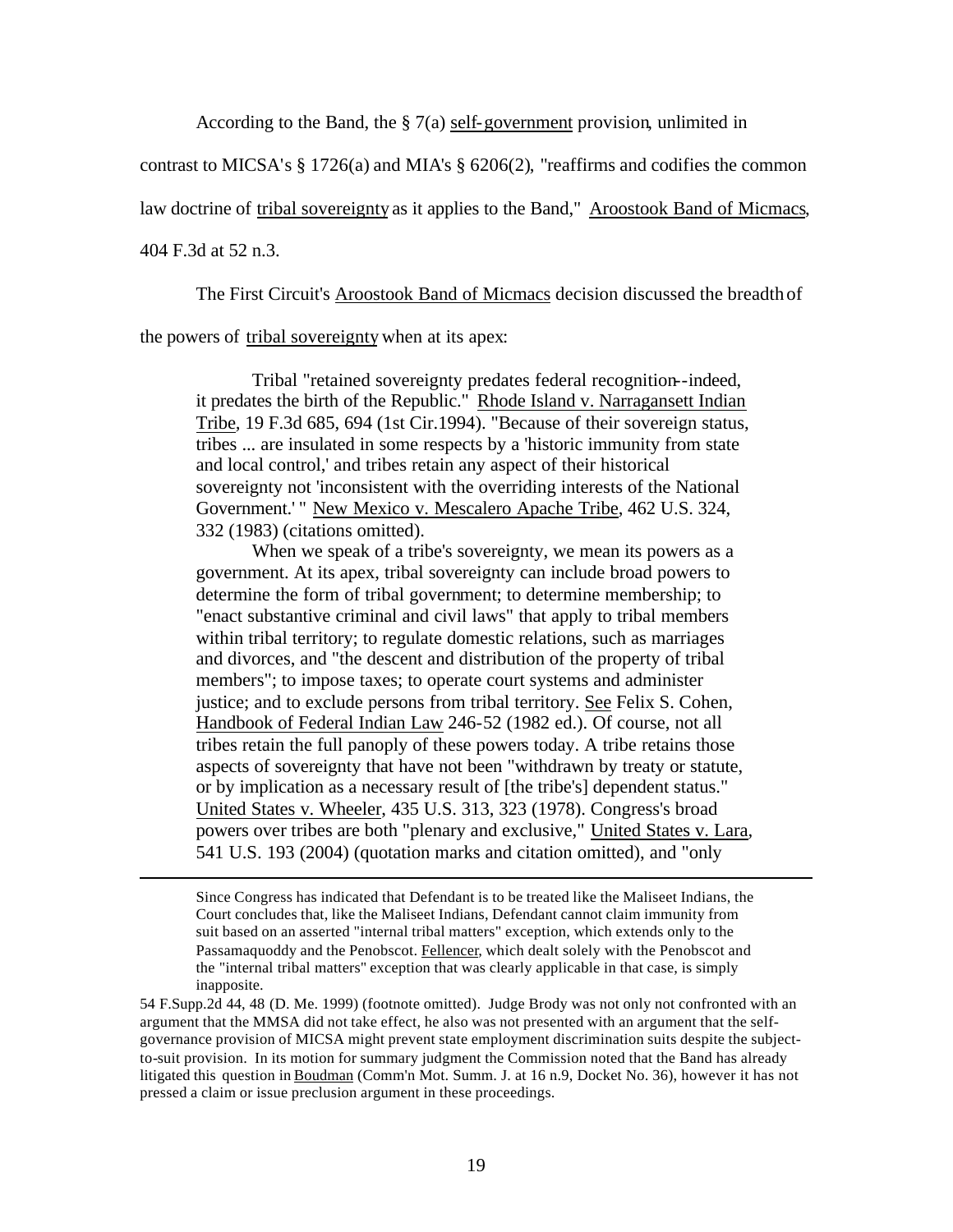According to the Band, the § 7(a) self-government provision, unlimited in

contrast to MICSA's § 1726(a) and MIA's § 6206(2), "reaffirms and codifies the common

law doctrine of tribal sovereignty as it applies to the Band," Aroostook Band of Micmacs,

404 F.3d at 52 n.3.

 $\overline{a}$ 

The First Circuit's Aroostook Band of Micmacs decision discussed the breadth of

the powers of tribal sovereignty when at its apex:

Tribal "retained sovereignty predates federal recognition--indeed, it predates the birth of the Republic." Rhode Island v. Narragansett Indian Tribe*,* 19 F.3d 685, 694 (1st Cir.1994). "Because of their sovereign status, tribes ... are insulated in some respects by a 'historic immunity from state and local control,' and tribes retain any aspect of their historical sovereignty not 'inconsistent with the overriding interests of the National Government.'" New Mexico v. Mescalero Apache Tribe, 462 U.S. 324, 332 (1983) (citations omitted).

When we speak of a tribe's sovereignty, we mean its powers as a government. At its apex, tribal sovereignty can include broad powers to determine the form of tribal government; to determine membership; to "enact substantive criminal and civil laws" that apply to tribal members within tribal territory; to regulate domestic relations, such as marriages and divorces, and "the descent and distribution of the property of tribal members"; to impose taxes; to operate court systems and administer justice; and to exclude persons from tribal territory. See Felix S. Cohen, Handbook of Federal Indian Law 246-52 (1982 ed.). Of course, not all tribes retain the full panoply of these powers today. A tribe retains those aspects of sovereignty that have not been "withdrawn by treaty or statute, or by implication as a necessary result of [the tribe's] dependent status." United States v. Wheeler, 435 U.S. 313, 323 (1978). Congress's broad powers over tribes are both "plenary and exclusive," United States v. Lara*,* 541 U.S. 193 (2004) (quotation marks and citation omitted), and "only

Since Congress has indicated that Defendant is to be treated like the Maliseet Indians, the Court concludes that, like the Maliseet Indians, Defendant cannot claim immunity from suit based on an asserted "internal tribal matters" exception, which extends only to the Passamaquoddy and the Penobscot. Fellencer*,* which dealt solely with the Penobscot and the "internal tribal matters" exception that was clearly applicable in that case, is simply inapposite.

54 F.Supp.2d 44, 48 (D. Me. 1999) (footnote omitted). Judge Brody was not only not confronted with an argument that the MMSA did not take effect, he also was not presented with an argument that the selfgovernance provision of MICSA might prevent state employment discrimination suits despite the subjectto-suit provision. In its motion for summary judgment the Commission noted that the Band has already litigated this question in Boudman (Comm'n Mot. Summ. J. at 16 n.9, Docket No. 36), however it has not pressed a claim or issue preclusion argument in these proceedings.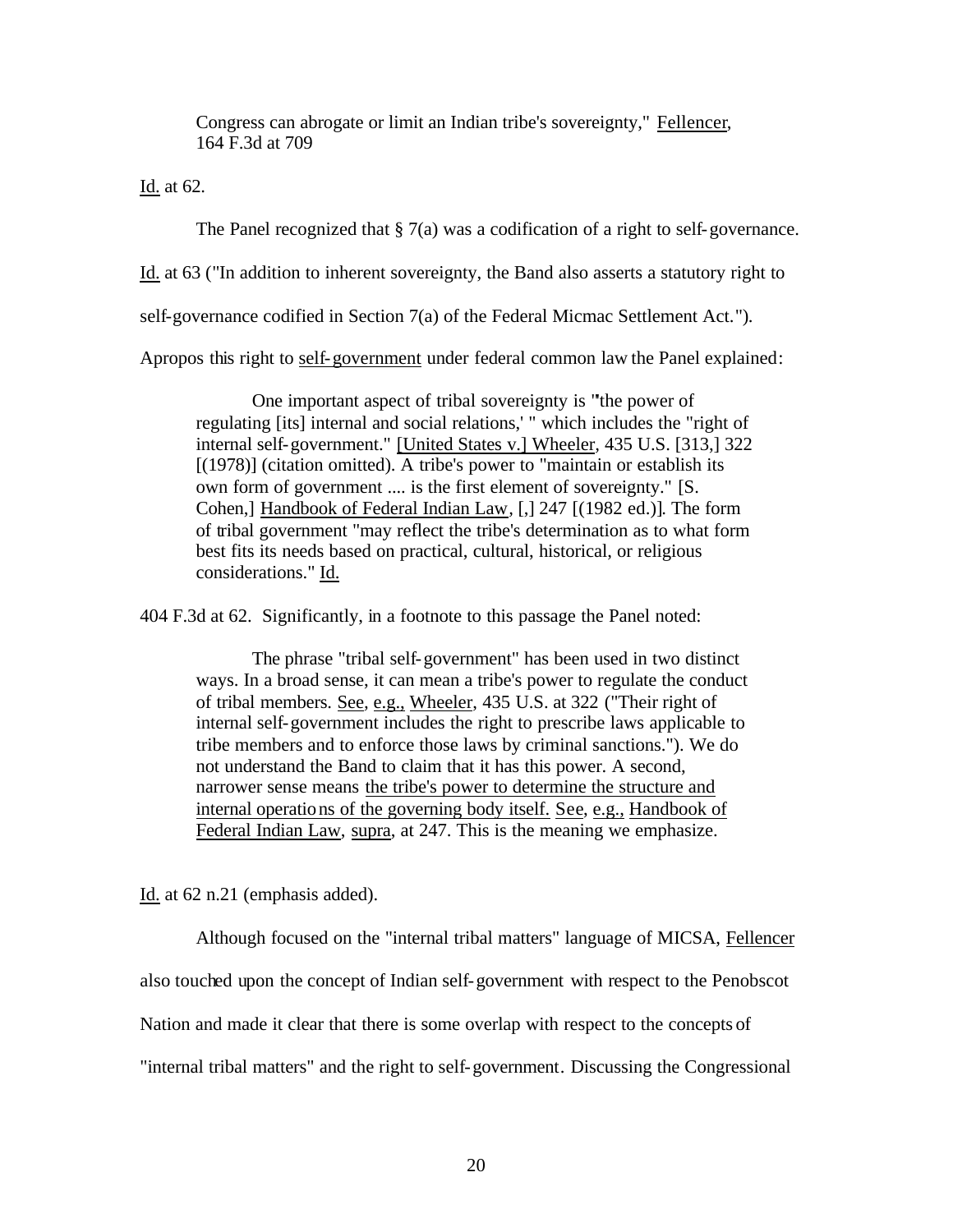Congress can abrogate or limit an Indian tribe's sovereignty," Fellencer, 164 F.3d at 709

Id. at 62.

The Panel recognized that § 7(a) was a codification of a right to self-governance.

Id. at 63 ("In addition to inherent sovereignty, the Band also asserts a statutory right to

self-governance codified in Section 7(a) of the Federal Micmac Settlement Act.").

Apropos this right to self-government under federal common law the Panel explained:

One important aspect of tribal sovereignty is "'the power of regulating [its] internal and social relations,' " which includes the "right of internal self-government." [United States v.] Wheeler*,* 435 U.S. [313,] 322 [(1978)] (citation omitted). A tribe's power to "maintain or establish its own form of government .... is the first element of sovereignty." [S. Cohen,] Handbook of Federal Indian Law*,* [,] 247 [(1982 ed.)]. The form of tribal government "may reflect the tribe's determination as to what form best fits its needs based on practical, cultural, historical, or religious considerations." Id.

404 F.3d at 62. Significantly, in a footnote to this passage the Panel noted:

The phrase "tribal self-government" has been used in two distinct ways. In a broad sense, it can mean a tribe's power to regulate the conduct of tribal members. See*,* e.g., Wheeler, 435 U.S. at 322 ("Their right of internal self-government includes the right to prescribe laws applicable to tribe members and to enforce those laws by criminal sanctions."). We do not understand the Band to claim that it has this power. A second, narrower sense means the tribe's power to determine the structure and internal operations of the governing body itself. See, e.g., Handbook of Federal Indian Law, supra, at 247. This is the meaning we emphasize.

Id. at 62 n.21 (emphasis added).

Although focused on the "internal tribal matters" language of MICSA, Fellencer also touched upon the concept of Indian self-government with respect to the Penobscot Nation and made it clear that there is some overlap with respect to the concepts of "internal tribal matters" and the right to self-government. Discussing the Congressional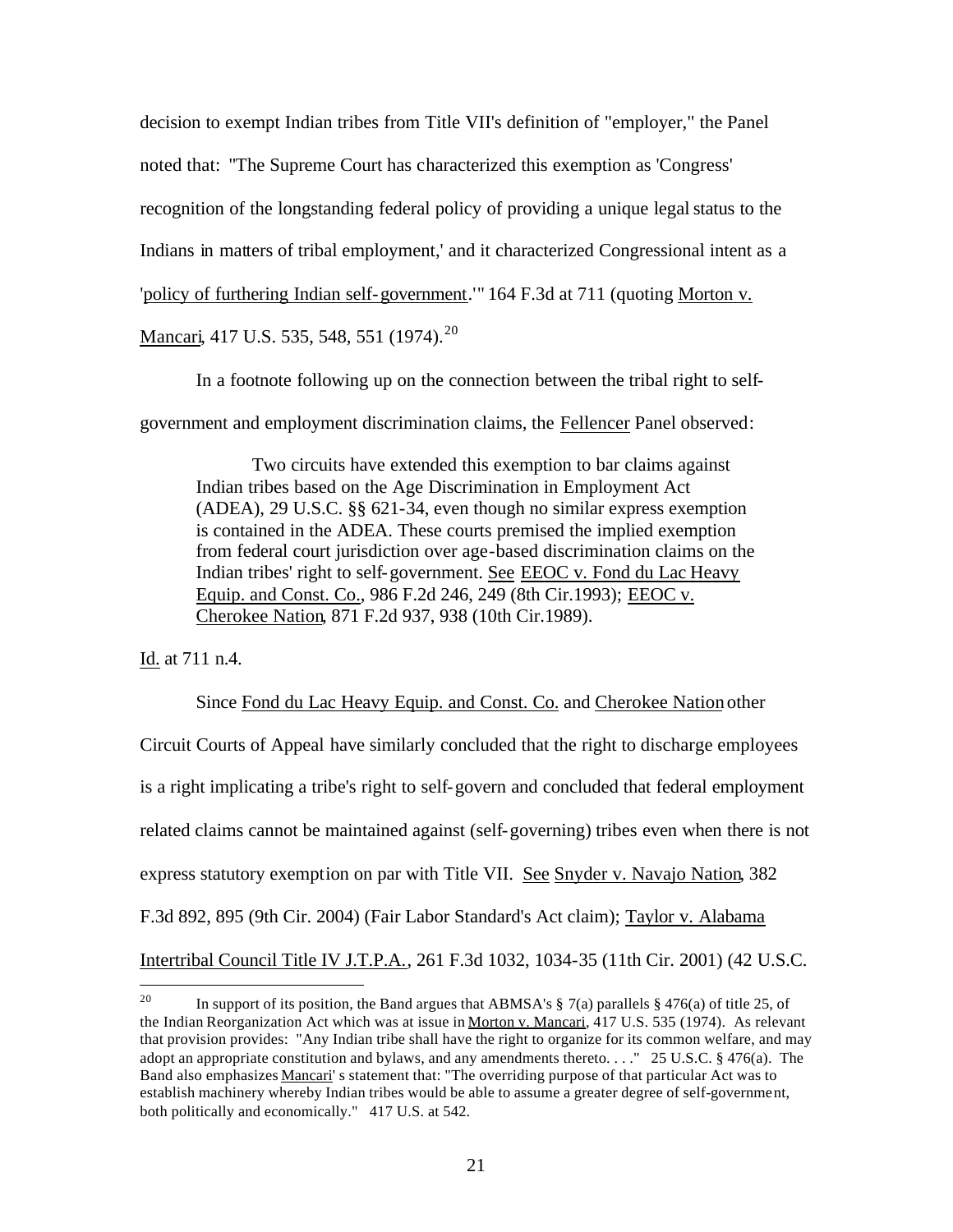decision to exempt Indian tribes from Title VII's definition of "employer," the Panel noted that: "The Supreme Court has characterized this exemption as 'Congress' recognition of the longstanding federal policy of providing a unique legal status to the Indians in matters of tribal employment,' and it characterized Congressional intent as a 'policy of furthering Indian self-government.'" 164 F.3d at 711 (quoting Morton v. Mancari, 417 U.S. 535, 548, 551 (1974).<sup>20</sup>

In a footnote following up on the connection between the tribal right to self-

government and employment discrimination claims, the Fellencer Panel observed:

Two circuits have extended this exemption to bar claims against Indian tribes based on the Age Discrimination in Employment Act (ADEA), 29 U.S.C. §§ 621-34, even though no similar express exemption is contained in the ADEA. These courts premised the implied exemption from federal court jurisdiction over age-based discrimination claims on the Indian tribes' right to self-government. See EEOC v. Fond du Lac Heavy Equip. and Const. Co., 986 F.2d 246, 249 (8th Cir.1993); EEOC v. Cherokee Nation, 871 F.2d 937, 938 (10th Cir.1989).

Id. at 711 n.4.

Since Fond du Lac Heavy Equip. and Const. Co. and Cherokee Nation other Circuit Courts of Appeal have similarly concluded that the right to discharge employees is a right implicating a tribe's right to self-govern and concluded that federal employment related claims cannot be maintained against (self-governing) tribes even when there is not express statutory exemption on par with Title VII. See Snyder v. Navajo Nation, 382 F.3d 892, 895 (9th Cir. 2004) (Fair Labor Standard's Act claim); Taylor v. Alabama Intertribal Council Title IV J.T.P.A., 261 F.3d 1032, 1034-35 (11th Cir. 2001) (42 U.S.C.

<sup>20</sup> In support of its position, the Band argues that ABMSA's  $\S$  7(a) parallels  $\S$  476(a) of title 25, of the Indian Reorganization Act which was at issue in Morton v. Mancari, 417 U.S. 535 (1974). As relevant that provision provides: "Any Indian tribe shall have the right to organize for its common welfare, and may adopt an appropriate constitution and bylaws, and any amendments thereto. . . ." 25 U.S.C. § 476(a). The Band also emphasizes Mancari's statement that: "The overriding purpose of that particular Act was to establish machinery whereby Indian tribes would be able to assume a greater degree of self-government, both politically and economically." 417 U.S. at 542.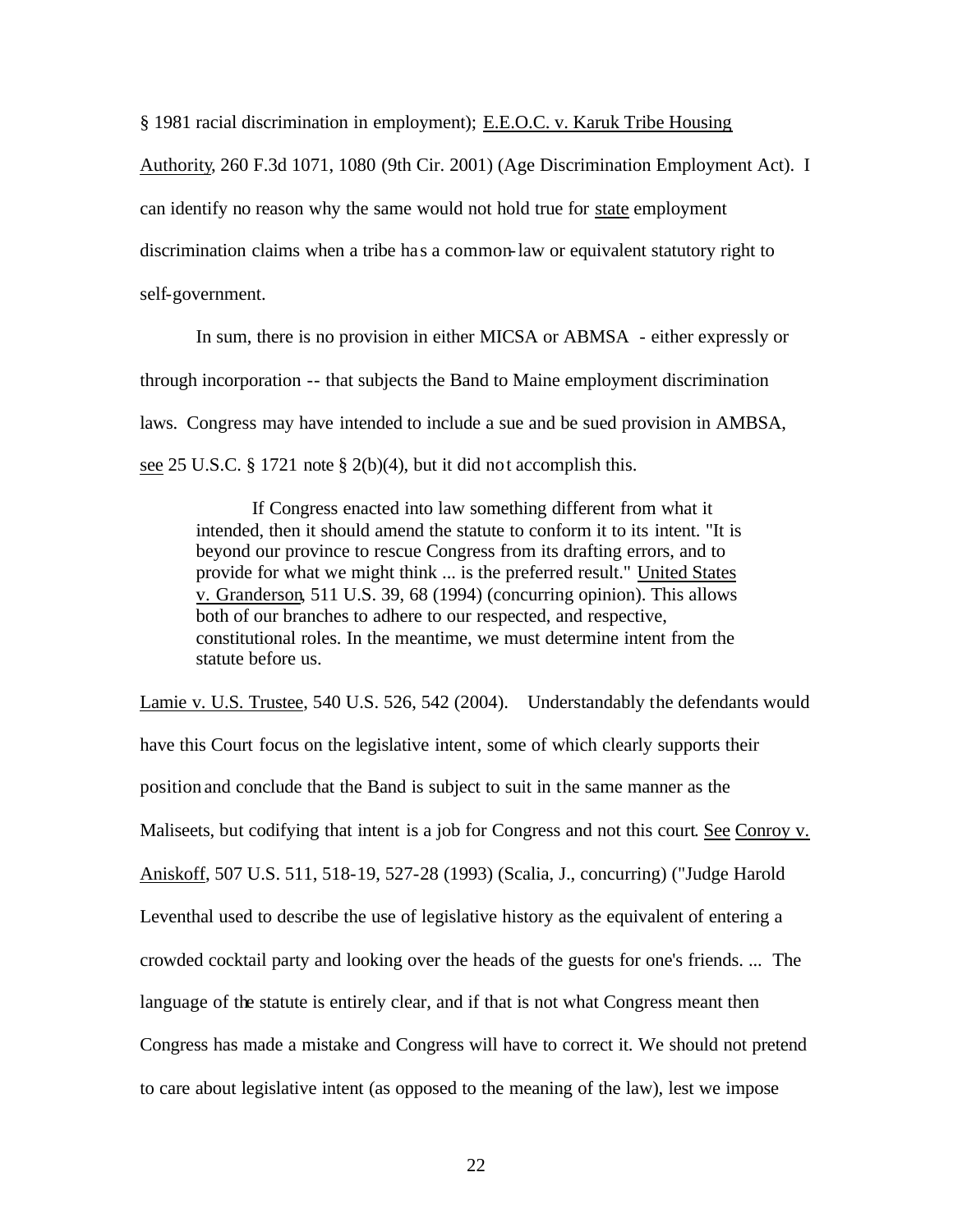§ 1981 racial discrimination in employment); E.E.O.C. v. Karuk Tribe Housing

Authority, 260 F.3d 1071, 1080 (9th Cir. 2001) (Age Discrimination Employment Act). I can identify no reason why the same would not hold true for state employment discrimination claims when a tribe has a common-law or equivalent statutory right to self-government.

In sum, there is no provision in either MICSA or ABMSA - either expressly or through incorporation -- that subjects the Band to Maine employment discrimination laws. Congress may have intended to include a sue and be sued provision in AMBSA, see 25 U.S.C. § 1721 note § 2(b)(4), but it did not accomplish this.

If Congress enacted into law something different from what it intended, then it should amend the statute to conform it to its intent. "It is beyond our province to rescue Congress from its drafting errors, and to provide for what we might think ... is the preferred result." United States v. Granderson, 511 U.S. 39, 68 (1994) (concurring opinion). This allows both of our branches to adhere to our respected, and respective, constitutional roles. In the meantime, we must determine intent from the statute before us.

Lamie v. U.S. Trustee, 540 U.S. 526, 542 (2004). Understandably the defendants would have this Court focus on the legislative intent, some of which clearly supports their position and conclude that the Band is subject to suit in the same manner as the Maliseets, but codifying that intent is a job for Congress and not this court. See Conroy v. Aniskoff, 507 U.S. 511, 518-19, 527-28 (1993) (Scalia, J., concurring) ("Judge Harold Leventhal used to describe the use of legislative history as the equivalent of entering a crowded cocktail party and looking over the heads of the guests for one's friends. ... The language of the statute is entirely clear, and if that is not what Congress meant then Congress has made a mistake and Congress will have to correct it. We should not pretend to care about legislative intent (as opposed to the meaning of the law), lest we impose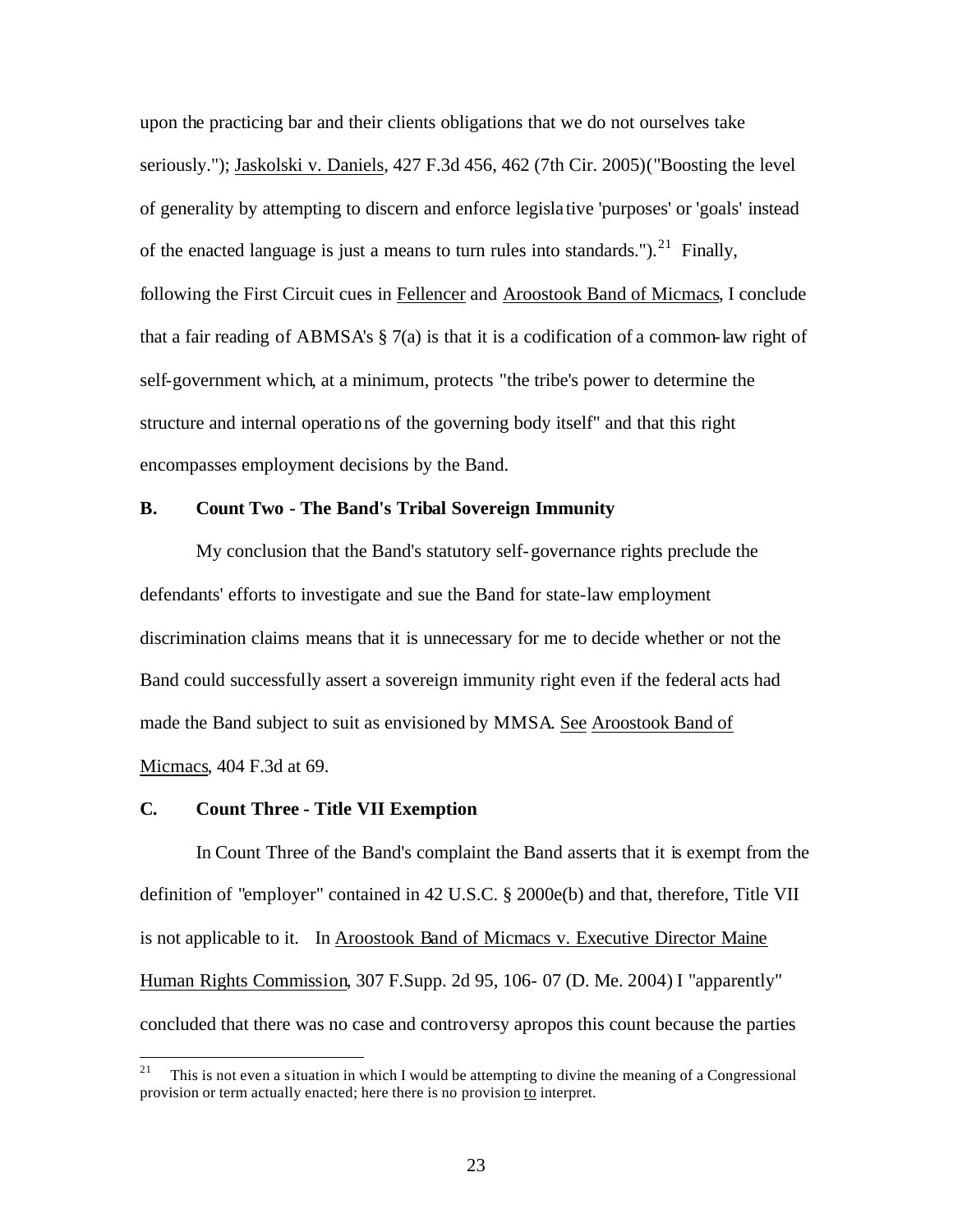upon the practicing bar and their clients obligations that we do not ourselves take seriously."); Jaskolski v. Daniels, 427 F.3d 456, 462 (7th Cir. 2005)("Boosting the level of generality by attempting to discern and enforce legisla tive 'purposes' or 'goals' instead of the enacted language is just a means to turn rules into standards.").<sup>21</sup> Finally, following the First Circuit cues in Fellencer and Aroostook Band of Micmacs, I conclude that a fair reading of ABMSA's § 7(a) is that it is a codification of a common-law right of self-government which, at a minimum, protects "the tribe's power to determine the structure and internal operations of the governing body itself" and that this right encompasses employment decisions by the Band.

## **B. Count Two - The Band's Tribal Sovereign Immunity**

My conclusion that the Band's statutory self-governance rights preclude the defendants' efforts to investigate and sue the Band for state-law employment discrimination claims means that it is unnecessary for me to decide whether or not the Band could successfully assert a sovereign immunity right even if the federal acts had made the Band subject to suit as envisioned by MMSA. See Aroostook Band of Micmacs, 404 F.3d at 69.

#### **C. Count Three - Title VII Exemption**

In Count Three of the Band's complaint the Band asserts that it is exempt from the definition of "employer" contained in 42 U.S.C. § 2000e(b) and that, therefore, Title VII is not applicable to it. In Aroostook Band of Micmacs v. Executive Director Maine Human Rights Commission, 307 F.Supp. 2d 95, 106- 07 (D. Me. 2004) I "apparently" concluded that there was no case and controversy apropos this count because the parties

<sup>&</sup>lt;sup>21</sup> This is not even a situation in which I would be attempting to divine the meaning of a Congressional provision or term actually enacted; here there is no provision to interpret.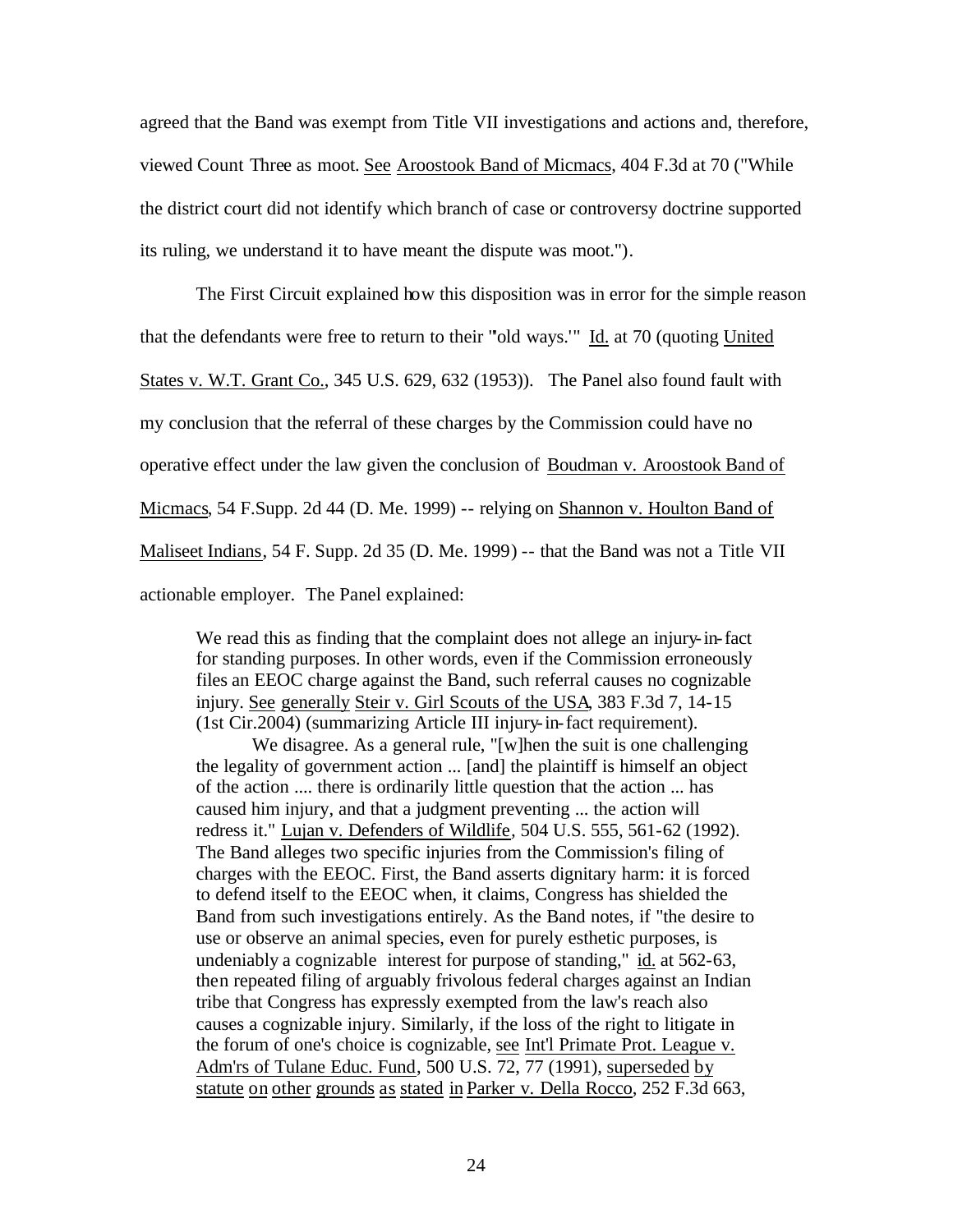agreed that the Band was exempt from Title VII investigations and actions and, therefore, viewed Count Three as moot. See Aroostook Band of Micmacs, 404 F.3d at 70 ("While the district court did not identify which branch of case or controversy doctrine supported its ruling, we understand it to have meant the dispute was moot.").

The First Circuit explained how this disposition was in error for the simple reason that the defendants were free to return to their "'old ways.'" Id. at 70 (quoting United States v. W.T. Grant Co., 345 U.S. 629, 632 (1953)). The Panel also found fault with my conclusion that the referral of these charges by the Commission could have no operative effect under the law given the conclusion of Boudman v. Aroostook Band of Micmacs, 54 F.Supp. 2d 44 (D. Me. 1999) -- relying on Shannon v. Houlton Band of Maliseet Indians, 54 F. Supp. 2d 35 (D. Me. 1999) -- that the Band was not a Title VII actionable employer. The Panel explained:

We read this as finding that the complaint does not allege an injury-in-fact for standing purposes. In other words, even if the Commission erroneously files an EEOC charge against the Band, such referral causes no cognizable injury. See generally Steir v. Girl Scouts of the USA, 383 F.3d 7, 14-15 (1st Cir.2004) (summarizing Article III injury-in-fact requirement).

We disagree. As a general rule, "[w]hen the suit is one challenging the legality of government action ... [and] the plaintiff is himself an object of the action .... there is ordinarily little question that the action ... has caused him injury, and that a judgment preventing ... the action will redress it." Lujan v. Defenders of Wildlife*,* 504 U.S. 555, 561-62 (1992). The Band alleges two specific injuries from the Commission's filing of charges with the EEOC. First, the Band asserts dignitary harm: it is forced to defend itself to the EEOC when, it claims, Congress has shielded the Band from such investigations entirely. As the Band notes, if "the desire to use or observe an animal species, even for purely esthetic purposes, is undeniably a cognizable interest for purpose of standing," id. at 562-63, then repeated filing of arguably frivolous federal charges against an Indian tribe that Congress has expressly exempted from the law's reach also causes a cognizable injury. Similarly, if the loss of the right to litigate in the forum of one's choice is cognizable, see Int'l Primate Prot. League v. Adm'rs of Tulane Educ. Fund, 500 U.S. 72, 77 (1991), superseded by statute on other grounds as stated in Parker v. Della Rocco, 252 F.3d 663,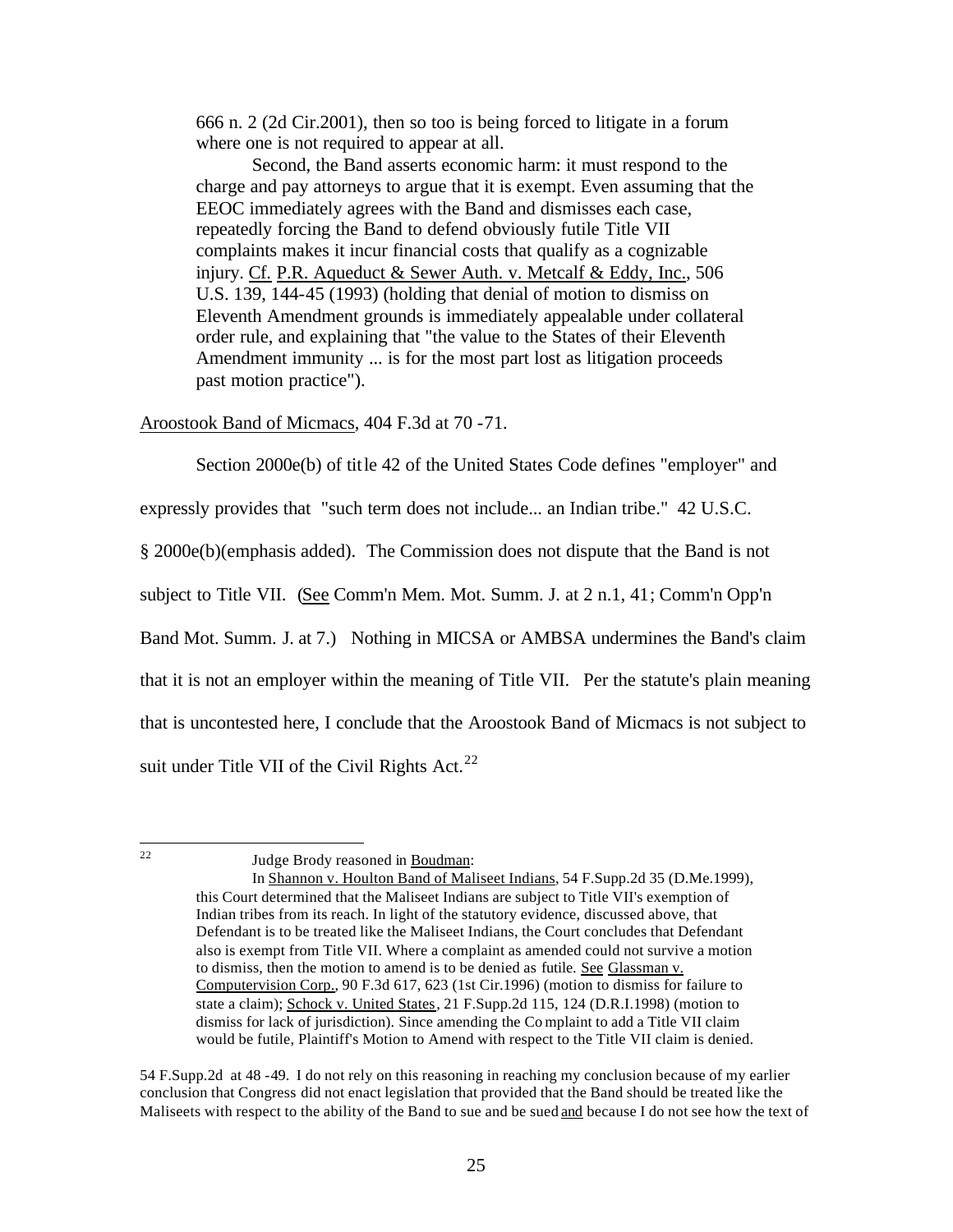666 n. 2 (2d Cir.2001), then so too is being forced to litigate in a forum where one is not required to appear at all.

Second, the Band asserts economic harm: it must respond to the charge and pay attorneys to argue that it is exempt. Even assuming that the EEOC immediately agrees with the Band and dismisses each case, repeatedly forcing the Band to defend obviously futile Title VII complaints makes it incur financial costs that qualify as a cognizable injury. Cf. P.R. Aqueduct & Sewer Auth. v. Metcalf & Eddy, Inc., 506 U.S. 139, 144-45 (1993) (holding that denial of motion to dismiss on Eleventh Amendment grounds is immediately appealable under collateral order rule, and explaining that "the value to the States of their Eleventh Amendment immunity ... is for the most part lost as litigation proceeds past motion practice").

Aroostook Band of Micmacs, 404 F.3d at 70 -71.

Section 2000e(b) of title 42 of the United States Code defines "employer" and

expressly provides that "such term does not include... an Indian tribe." 42 U.S.C.

§ 2000e(b)(emphasis added). The Commission does not dispute that the Band is not

subject to Title VII. (See Comm'n Mem. Mot. Summ. J. at 2 n.1, 41; Comm'n Opp'n

Band Mot. Summ. J. at 7.) Nothing in MICSA or AMBSA undermines the Band's claim

that it is not an employer within the meaning of Title VII. Per the statute's plain meaning

that is uncontested here, I conclude that the Aroostook Band of Micmacs is not subject to

suit under Title VII of the Civil Rights  $Act.<sup>22</sup>$ 

 $22$ 

Judge Brody reasoned in Boudman:

In Shannon v. Houlton Band of Maliseet Indians, 54 F.Supp.2d 35 (D.Me.1999), this Court determined that the Maliseet Indians are subject to Title VII's exemption of Indian tribes from its reach. In light of the statutory evidence, discussed above, that Defendant is to be treated like the Maliseet Indians, the Court concludes that Defendant also is exempt from Title VII. Where a complaint as amended could not survive a motion to dismiss, then the motion to amend is to be denied as futile. See Glassman v. Computervision Corp., 90 F.3d 617, 623 (1st Cir.1996) (motion to dismiss for failure to state a claim); Schock v. United States, 21 F.Supp.2d 115, 124 (D.R.I.1998) (motion to dismiss for lack of jurisdiction). Since amending the Co mplaint to add a Title VII claim would be futile, Plaintiff's Motion to Amend with respect to the Title VII claim is denied.

<sup>54</sup> F.Supp.2d at 48 -49. I do not rely on this reasoning in reaching my conclusion because of my earlier conclusion that Congress did not enact legislation that provided that the Band should be treated like the Maliseets with respect to the ability of the Band to sue and be sued and because I do not see how the text of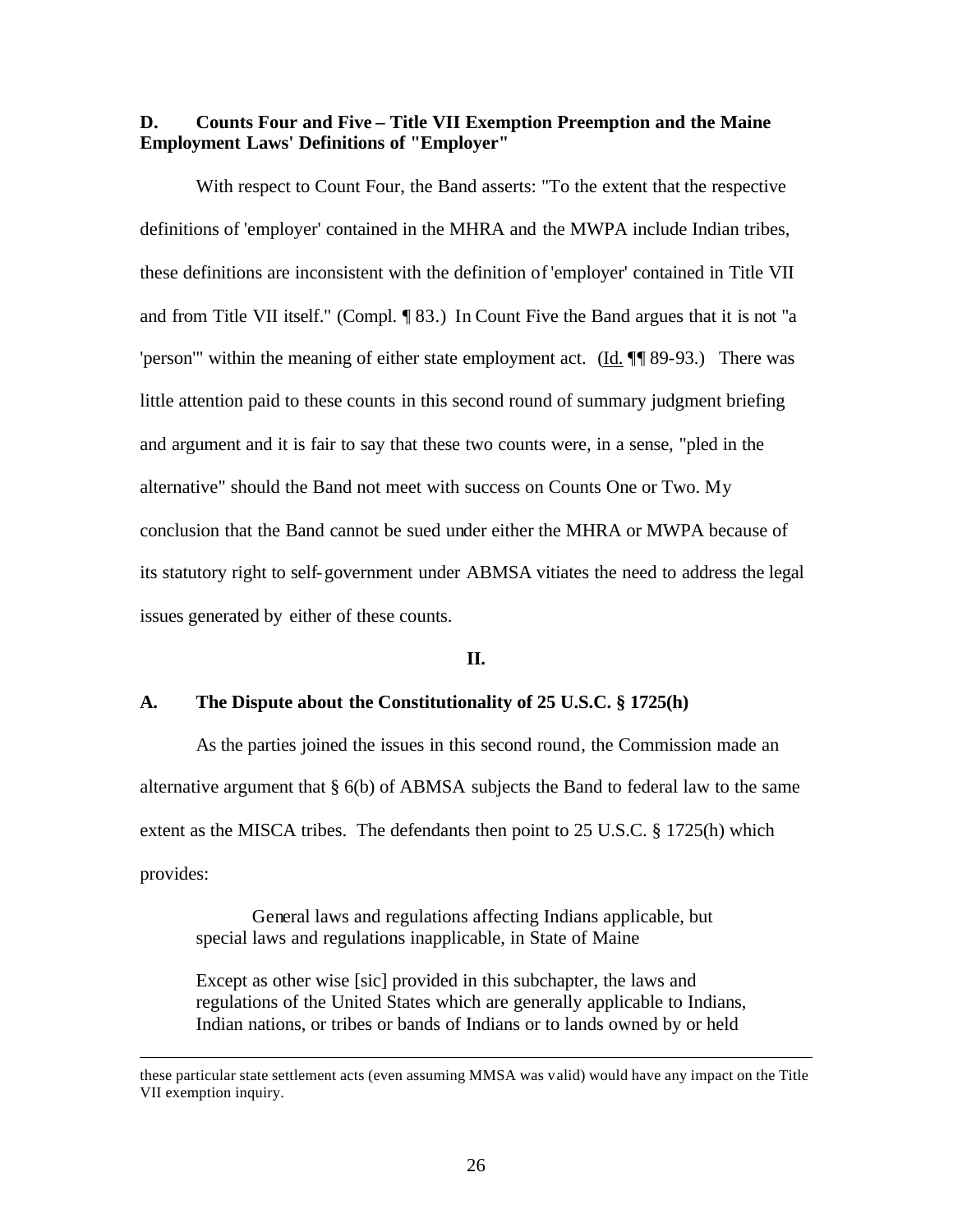## **D. Counts Four and Five – Title VII Exemption Preemption and the Maine Employment Laws' Definitions of "Employer"**

With respect to Count Four, the Band asserts: "To the extent that the respective definitions of 'employer' contained in the MHRA and the MWPA include Indian tribes, these definitions are inconsistent with the definition of 'employer' contained in Title VII and from Title VII itself." (Compl. ¶ 83.) In Count Five the Band argues that it is not "a 'person'" within the meaning of either state employment act. (Id. ¶¶ 89-93.) There was little attention paid to these counts in this second round of summary judgment briefing and argument and it is fair to say that these two counts were, in a sense, "pled in the alternative" should the Band not meet with success on Counts One or Two. My conclusion that the Band cannot be sued under either the MHRA or MWPA because of its statutory right to self-government under ABMSA vitiates the need to address the legal issues generated by either of these counts.

## **II.**

### **A. The Dispute about the Constitutionality of 25 U.S.C. § 1725(h)**

As the parties joined the issues in this second round, the Commission made an alternative argument that § 6(b) of ABMSA subjects the Band to federal law to the same extent as the MISCA tribes. The defendants then point to 25 U.S.C. § 1725(h) which provides:

General laws and regulations affecting Indians applicable, but special laws and regulations inapplicable, in State of Maine

 $\overline{a}$ 

Except as other wise [sic] provided in this subchapter, the laws and regulations of the United States which are generally applicable to Indians, Indian nations, or tribes or bands of Indians or to lands owned by or held

these particular state settlement acts (even assuming MMSA was valid) would have any impact on the Title VII exemption inquiry.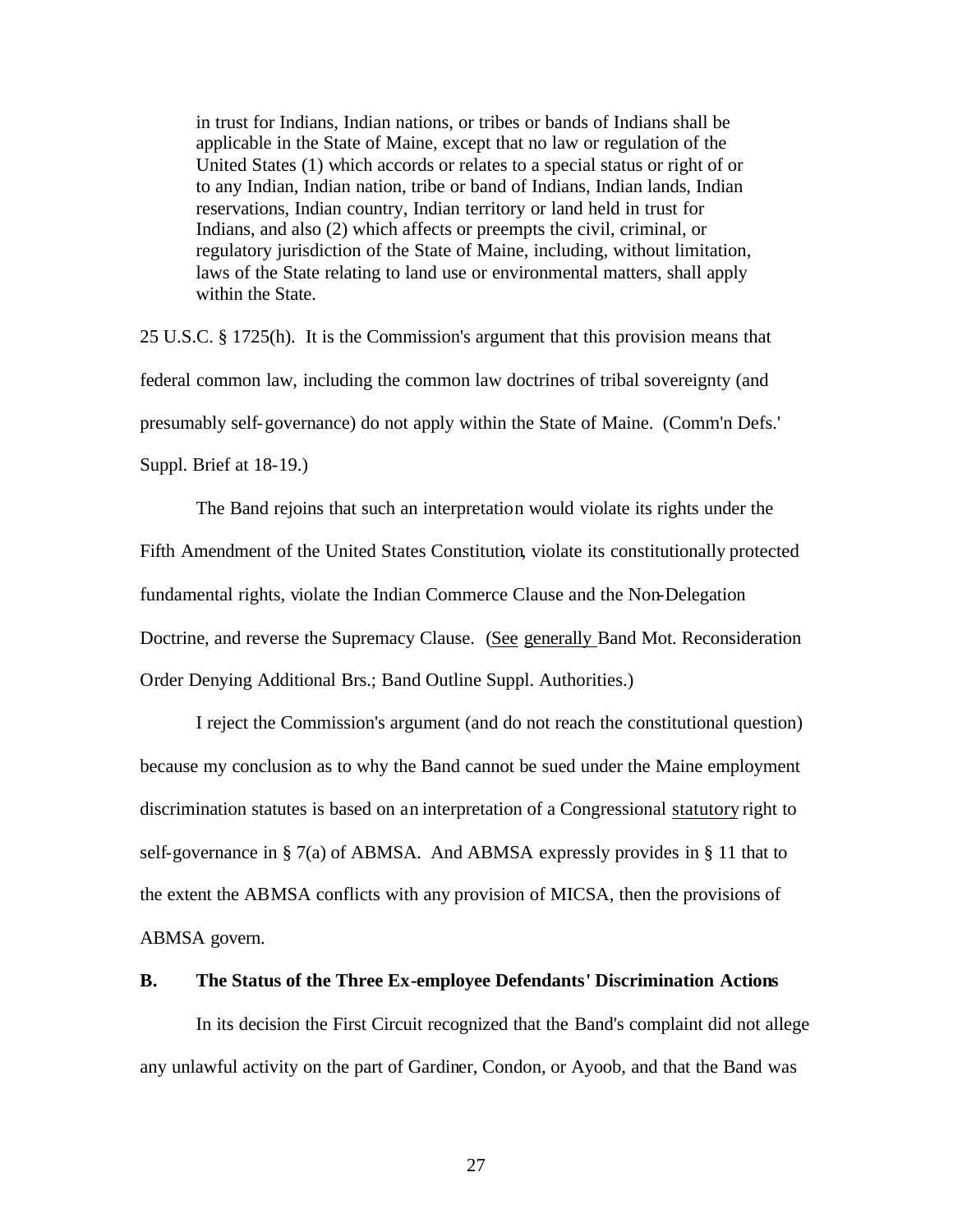in trust for Indians, Indian nations, or tribes or bands of Indians shall be applicable in the State of Maine, except that no law or regulation of the United States (1) which accords or relates to a special status or right of or to any Indian, Indian nation, tribe or band of Indians, Indian lands, Indian reservations, Indian country, Indian territory or land held in trust for Indians, and also (2) which affects or preempts the civil, criminal, or regulatory jurisdiction of the State of Maine, including, without limitation, laws of the State relating to land use or environmental matters, shall apply within the State.

25 U.S.C. § 1725(h). It is the Commission's argument that this provision means that federal common law, including the common law doctrines of tribal sovereignty (and presumably self-governance) do not apply within the State of Maine. (Comm'n Defs.' Suppl. Brief at 18-19.)

The Band rejoins that such an interpretation would violate its rights under the Fifth Amendment of the United States Constitution, violate its constitutionally protected fundamental rights, violate the Indian Commerce Clause and the Non-Delegation Doctrine, and reverse the Supremacy Clause. (See generally Band Mot. Reconsideration Order Denying Additional Brs.; Band Outline Suppl. Authorities.)

I reject the Commission's argument (and do not reach the constitutional question) because my conclusion as to why the Band cannot be sued under the Maine employment discrimination statutes is based on an interpretation of a Congressional statutory right to self-governance in § 7(a) of ABMSA. And ABMSA expressly provides in § 11 that to the extent the ABMSA conflicts with any provision of MICSA, then the provisions of ABMSA govern.

#### **B. The Status of the Three Ex-employee Defendants' Discrimination Actions**

In its decision the First Circuit recognized that the Band's complaint did not allege any unlawful activity on the part of Gardiner, Condon, or Ayoob, and that the Band was

27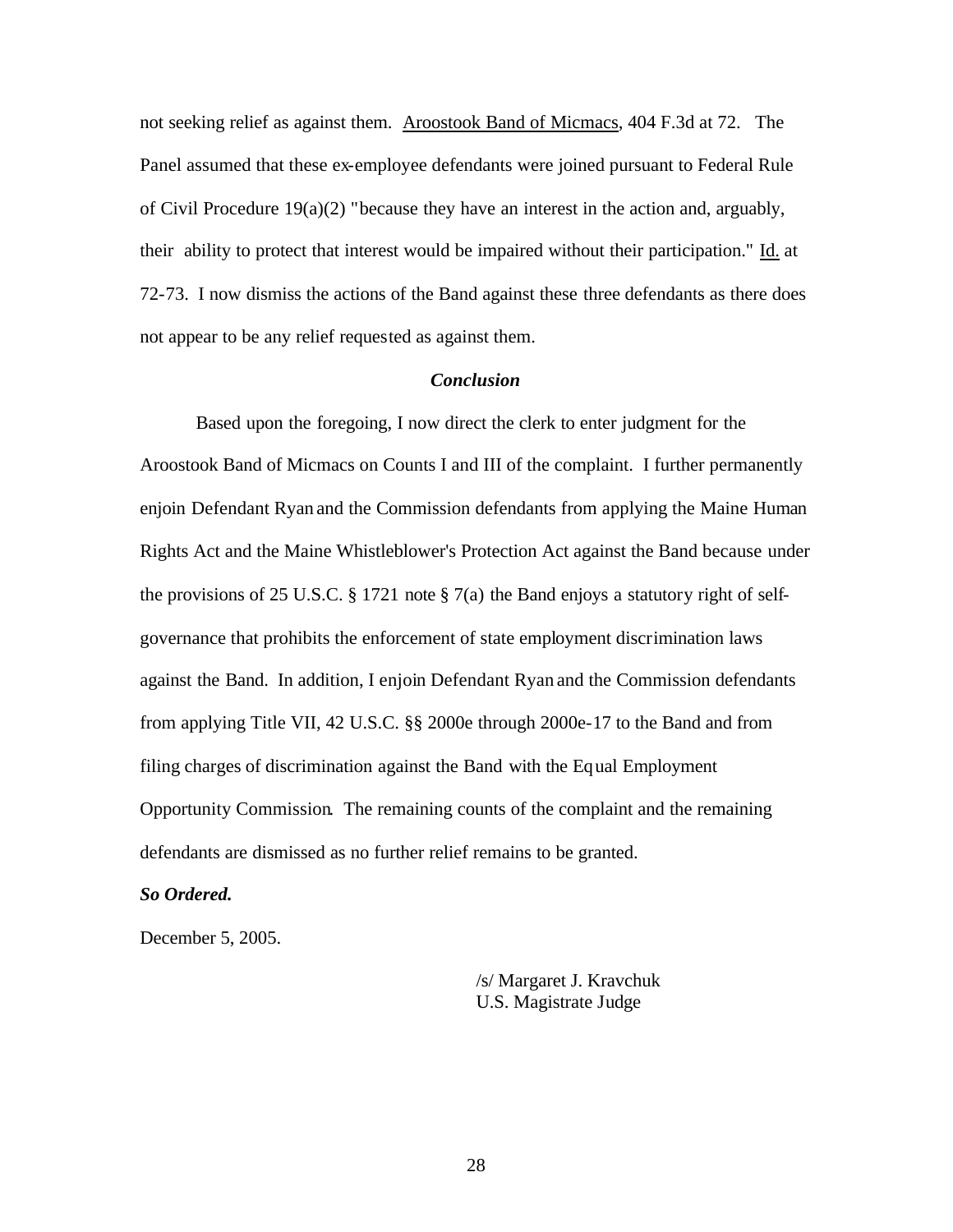not seeking relief as against them. Aroostook Band of Micmacs, 404 F.3d at 72. The Panel assumed that these ex-employee defendants were joined pursuant to Federal Rule of Civil Procedure 19(a)(2) "because they have an interest in the action and, arguably, their ability to protect that interest would be impaired without their participation." Id. at 72-73. I now dismiss the actions of the Band against these three defendants as there does not appear to be any relief requested as against them.

## *Conclusion*

Based upon the foregoing, I now direct the clerk to enter judgment for the Aroostook Band of Micmacs on Counts I and III of the complaint. I further permanently enjoin Defendant Ryan and the Commission defendants from applying the Maine Human Rights Act and the Maine Whistleblower's Protection Act against the Band because under the provisions of 25 U.S.C. § 1721 note § 7(a) the Band enjoys a statutory right of selfgovernance that prohibits the enforcement of state employment discrimination laws against the Band. In addition, I enjoin Defendant Ryan and the Commission defendants from applying Title VII, 42 U.S.C. §§ 2000e through 2000e-17 to the Band and from filing charges of discrimination against the Band with the Equal Employment Opportunity Commission. The remaining counts of the complaint and the remaining defendants are dismissed as no further relief remains to be granted.

#### *So Ordered.*

December 5, 2005.

/s/ Margaret J. Kravchuk U.S. Magistrate Judge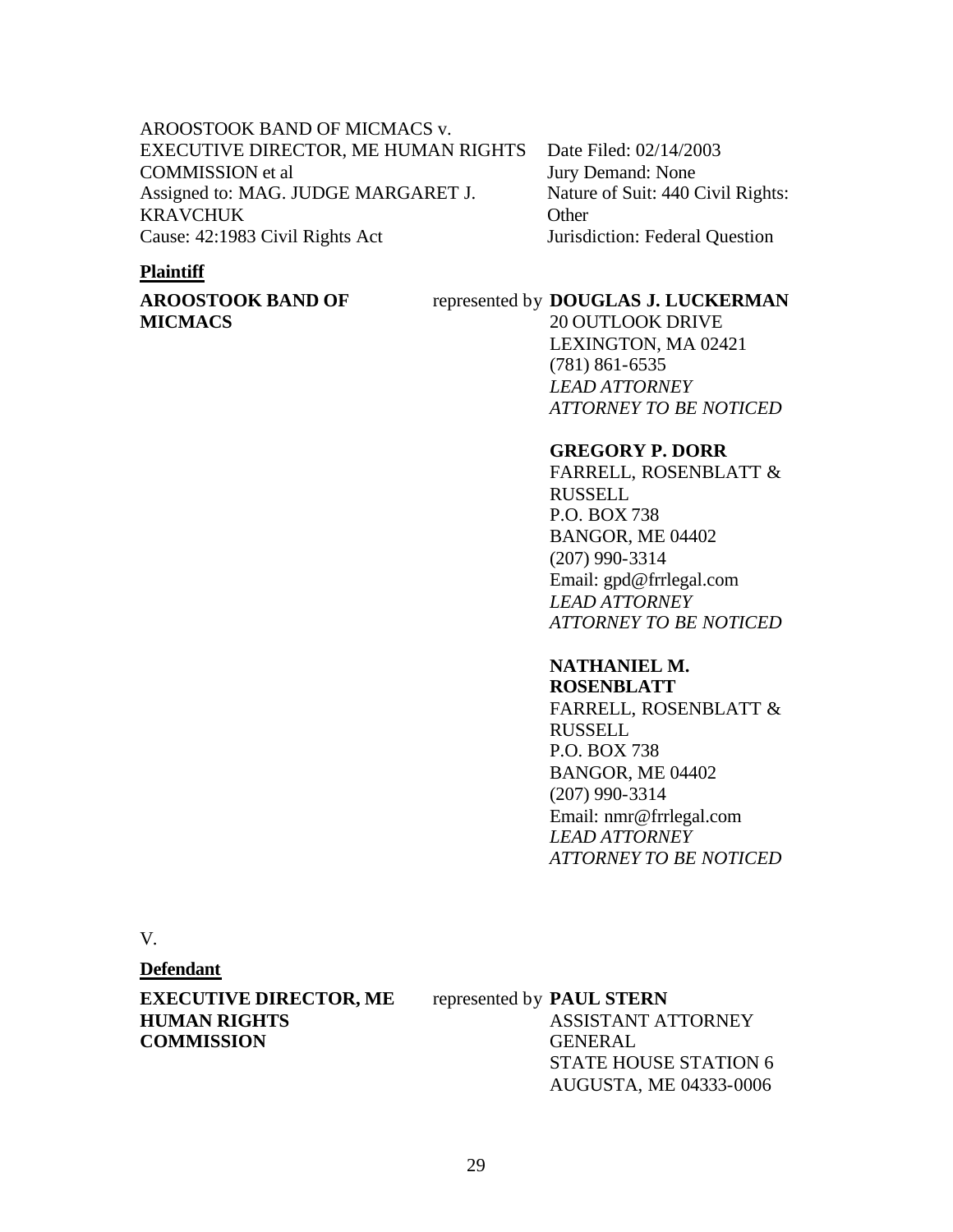## AROOSTOOK BAND OF MICMACS v. EXECUTIVE DIRECTOR, ME HUMAN RIGHTS COMMISSION et al Assigned to: MAG. JUDGE MARGARET J. KRAVCHUK Cause: 42:1983 Civil Rights Act

## Date Filed: 02/14/2003 Jury Demand: None Nature of Suit: 440 Civil Rights: **Other** Jurisdiction: Federal Question

## **Plaintiff**

## **AROOSTOOK BAND OF MICMACS**

## represented by **DOUGLAS J. LUCKERMAN**

20 OUTLOOK DRIVE LEXINGTON, MA 02421 (781) 861-6535 *LEAD ATTORNEY ATTORNEY TO BE NOTICED*

## **GREGORY P. DORR**

FARRELL, ROSENBLATT & RUSSELL P.O. BOX 738 BANGOR, ME 04402 (207) 990-3314 Email: gpd@frrlegal.com *LEAD ATTORNEY ATTORNEY TO BE NOTICED*

## **NATHANIEL M.**

**ROSENBLATT** FARRELL, ROSENBLATT & RUSSELL P.O. BOX 738 BANGOR, ME 04402 (207) 990-3314 Email: nmr@frrlegal.com *LEAD ATTORNEY ATTORNEY TO BE NOTICED*

V.

## **Defendant**

**EXECUTIVE DIRECTOR, ME HUMAN RIGHTS COMMISSION**

## represented by **PAUL STERN**

ASSISTANT ATTORNEY GENERAL STATE HOUSE STATION 6 AUGUSTA, ME 04333-0006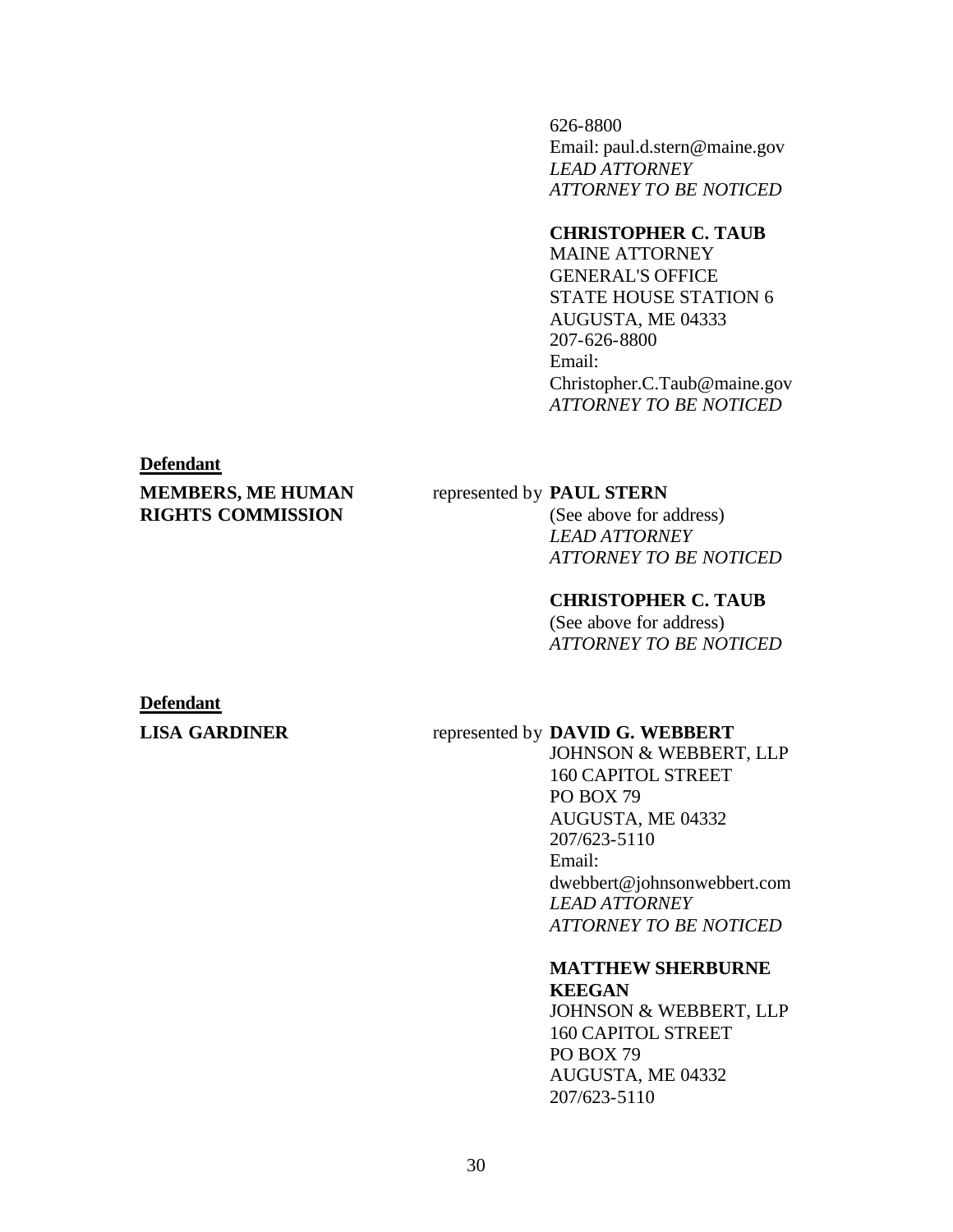626-8800 Email: paul.d.stern@maine.gov *LEAD ATTORNEY ATTORNEY TO BE NOTICED*

## **CHRISTOPHER C. TAUB**

MAINE ATTORNEY GENERAL'S OFFICE STATE HOUSE STATION 6 AUGUSTA, ME 04333 207-626-8800 Email: Christopher.C.Taub@maine.gov *ATTORNEY TO BE NOTICED*

#### **Defendant**

## **MEMBERS, ME HUMAN RIGHTS COMMISSION**

#### represented by **PAUL STERN**

(See above for address) *LEAD ATTORNEY ATTORNEY TO BE NOTICED*

## **CHRISTOPHER C. TAUB**

(See above for address) *ATTORNEY TO BE NOTICED*

### **Defendant**

#### **LISA GARDINER** represented by **DAVID G. WEBBERT**

JOHNSON & WEBBERT, LLP 160 CAPITOL STREET PO BOX 79 AUGUSTA, ME 04332 207/623-5110 Email: dwebbert@johnsonwebbert.com *LEAD ATTORNEY ATTORNEY TO BE NOTICED*

## **MATTHEW SHERBURNE**

**KEEGAN** JOHNSON & WEBBERT, LLP 160 CAPITOL STREET PO BOX 79 AUGUSTA, ME 04332 207/623-5110